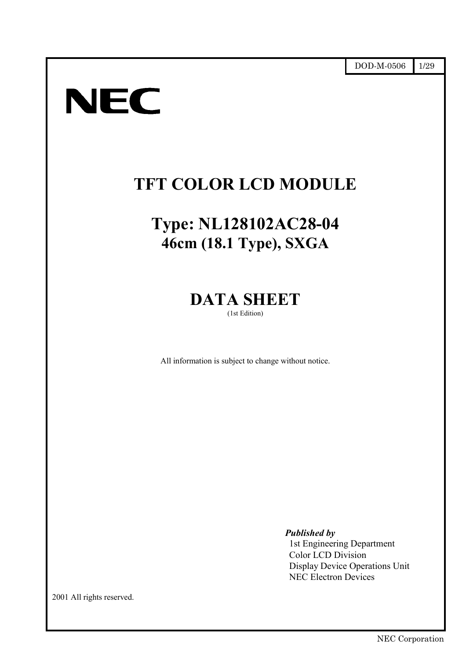# **NEC**

# **TFT COLOR LCD MODULE**

# **Type: NL128102AC28-04 46cm (18.1 Type), SXGA**

# **DATA SHEET**

(1st Edition)

All information is subject to change without notice.

*Published by*

1st Engineering Department Color LCD Division Display Device Operations Unit NEC Electron Devices

2001 All rights reserved.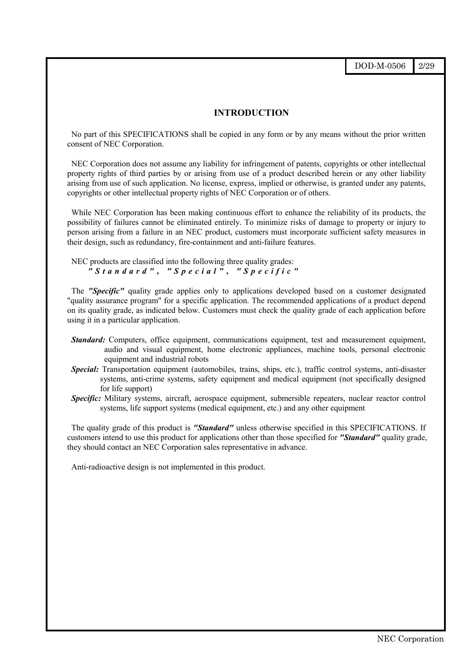DOD-M-0506 2/29

#### **INTRODUCTION**

No part of this SPECIFICATIONS shall be copied in any form or by any means without the prior written consent of NEC Corporation.

NEC Corporation does not assume any liability for infringement of patents, copyrights or other intellectual property rights of third parties by or arising from use of a product described herein or any other liability arising from use of such application. No license, express, implied or otherwise, is granted under any patents, copyrights or other intellectual property rights of NEC Corporation or of others.

While NEC Corporation has been making continuous effort to enhance the reliability of its products, the possibility of failures cannot be eliminated entirely. To minimize risks of damage to property or injury to person arising from a failure in an NEC product, customers must incorporate sufficient safety measures in their design, such as redundancy, fire-containment and anti-failure features.

NEC products are classified into the following three quality grades: *"Standard"* **,** *"Special"* **,** *"Specific"*

The "Specific" quality grade applies only to applications developed based on a customer designated "quality assurance program" for a specific application. The recommended applications of a product depend on its quality grade, as indicated below. Customers must check the quality grade of each application before using it in a particular application.

- *Standard:* Computers, office equipment, communications equipment, test and measurement equipment, audio and visual equipment, home electronic appliances, machine tools, personal electronic equipment and industrial robots
- *Special:* Transportation equipment (automobiles, trains, ships, etc.), traffic control systems, anti-disaster systems, anti-crime systems, safety equipment and medical equipment (not specifically designed for life support)
- *Specific:* Military systems, aircraft, aerospace equipment, submersible repeaters, nuclear reactor control systems, life support systems (medical equipment, etc.) and any other equipment

The quality grade of this product is *"Standard"* unless otherwise specified in this SPECIFICATIONS. If customers intend to use this product for applications other than those specified for *"Standard"* quality grade, they should contact an NEC Corporation sales representative in advance.

Anti-radioactive design is not implemented in this product.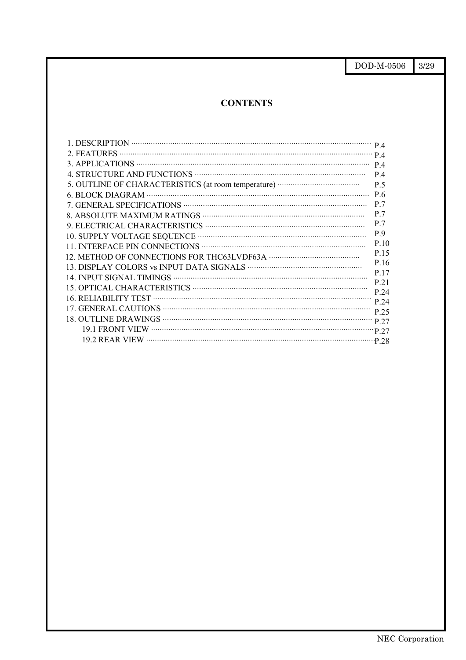$\frac{3}{29}$ DOD-M-0506

# **CONTENTS**

| 1. DESCRIPTION $P_4$ |      |
|----------------------|------|
|                      |      |
|                      | P.4  |
|                      | P.4  |
|                      | P.5  |
|                      | P.6  |
|                      | P.7  |
|                      | P.7  |
|                      | P.7  |
|                      | P.9  |
|                      | P.10 |
|                      | P.15 |
|                      | P.16 |
|                      | P.17 |
|                      | P 21 |
|                      | P 24 |
|                      | P.24 |
|                      | P.25 |
|                      |      |
|                      |      |
|                      |      |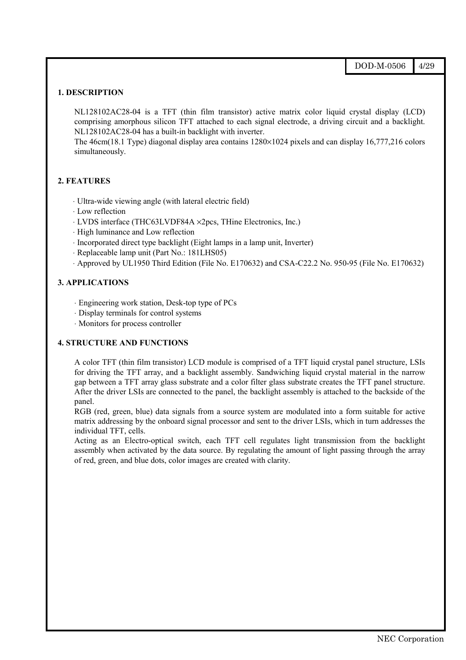#### **1. DESCRIPTION**

NL128102AC28-04 is a TFT (thin film transistor) active matrix color liquid crystal display (LCD) comprising amorphous silicon TFT attached to each signal electrode, a driving circuit and a backlight. NL128102AC28-04 has a built-in backlight with inverter.

The 46cm(18.1 Type) diagonal display area contains 1280×1024 pixels and can display 16,777,216 colors simultaneously.

#### **2. FEATURES**

- ⋅ Ultra-wide viewing angle (with lateral electric field)
- ⋅ Low reflection
- ⋅ LVDS interface (THC63LVDF84A ×2pcs, THine Electronics, Inc.)
- ⋅ High luminance and Low reflection
- ⋅ Incorporated direct type backlight (Eight lamps in a lamp unit, Inverter)
- ⋅ Replaceable lamp unit (Part No.: 181LHS05)
- ⋅ Approved by UL1950 Third Edition (File No. E170632) and CSA-C22.2 No. 950-95 (File No. E170632)

#### **3. APPLICATIONS**

- ⋅ Engineering work station, Desk-top type of PCs
- ⋅ Display terminals for control systems
- ⋅ Monitors for process controller

#### **4. STRUCTURE AND FUNCTIONS**

A color TFT (thin film transistor) LCD module is comprised of a TFT liquid crystal panel structure, LSIs for driving the TFT array, and a backlight assembly. Sandwiching liquid crystal material in the narrow gap between a TFT array glass substrate and a color filter glass substrate creates the TFT panel structure. After the driver LSIs are connected to the panel, the backlight assembly is attached to the backside of the panel.

RGB (red, green, blue) data signals from a source system are modulated into a form suitable for active matrix addressing by the onboard signal processor and sent to the driver LSIs, which in turn addresses the individual TFT, cells.

Acting as an Electro-optical switch, each TFT cell regulates light transmission from the backlight assembly when activated by the data source. By regulating the amount of light passing through the array of red, green, and blue dots, color images are created with clarity.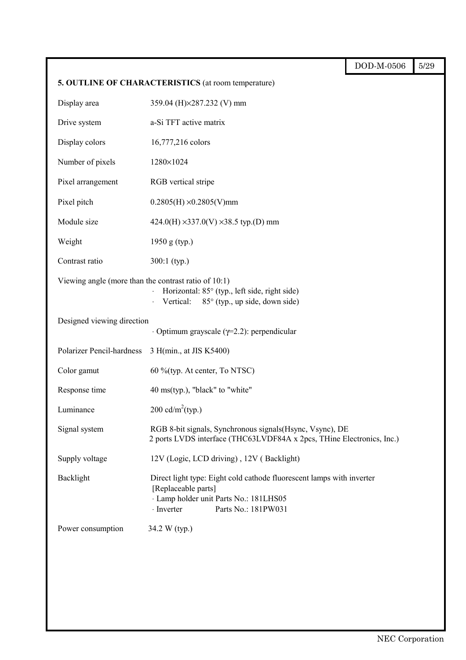|                                                         |                                                                                                                                                                                   | DOD-M-0506 | 5/29 |
|---------------------------------------------------------|-----------------------------------------------------------------------------------------------------------------------------------------------------------------------------------|------------|------|
|                                                         | 5. OUTLINE OF CHARACTERISTICS (at room temperature)                                                                                                                               |            |      |
| Display area                                            | 359.04 (H)×287.232 (V) mm                                                                                                                                                         |            |      |
| Drive system                                            | a-Si TFT active matrix                                                                                                                                                            |            |      |
| Display colors                                          | 16,777,216 colors                                                                                                                                                                 |            |      |
| Number of pixels                                        | 1280×1024                                                                                                                                                                         |            |      |
| Pixel arrangement                                       | RGB vertical stripe                                                                                                                                                               |            |      |
| Pixel pitch                                             | $0.2805(H) \times 0.2805(V)$ mm                                                                                                                                                   |            |      |
| Module size                                             | $424.0(H) \times 337.0(V) \times 38.5$ typ.(D) mm                                                                                                                                 |            |      |
| Weight                                                  | 1950 g (typ.)                                                                                                                                                                     |            |      |
| Contrast ratio                                          | $300:1$ (typ.)                                                                                                                                                                    |            |      |
| Viewing angle (more than the contrast ratio of $10:1$ ) | Horizontal: 85° (typ., left side, right side)<br>Vertical:<br>85° (typ., up side, down side)                                                                                      |            |      |
| Designed viewing direction                              | $\cdot$ Optimum grayscale ( $\gamma$ =2.2): perpendicular                                                                                                                         |            |      |
| Polarizer Pencil-hardness                               | 3 H(min., at JIS K5400)                                                                                                                                                           |            |      |
| Color gamut                                             | 60 %(typ. At center, To NTSC)                                                                                                                                                     |            |      |
| Response time                                           | 40 ms(typ.), "black" to "white"                                                                                                                                                   |            |      |
| Luminance                                               | $200 \text{ cd/m}^2(\text{typ.})$                                                                                                                                                 |            |      |
| Signal system                                           | RGB 8-bit signals, Synchronous signals (Hsync, Vsync), DE<br>2 ports LVDS interface (THC63LVDF84A x 2pcs, THine Electronics, Inc.)                                                |            |      |
| Supply voltage                                          | 12V (Logic, LCD driving), 12V (Backlight)                                                                                                                                         |            |      |
| Backlight                                               | Direct light type: Eight cold cathode fluorescent lamps with inverter<br>[Replaceable parts]<br>· Lamp holder unit Parts No.: 181LHS05<br>$\cdot$ Inverter<br>Parts No.: 181PW031 |            |      |
| Power consumption                                       | 34.2 W (typ.)                                                                                                                                                                     |            |      |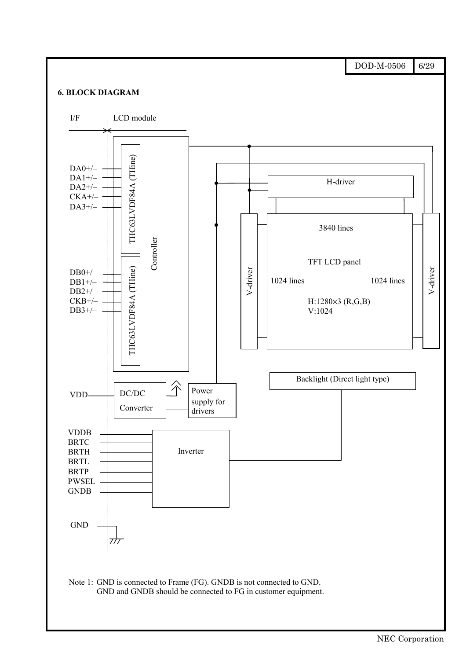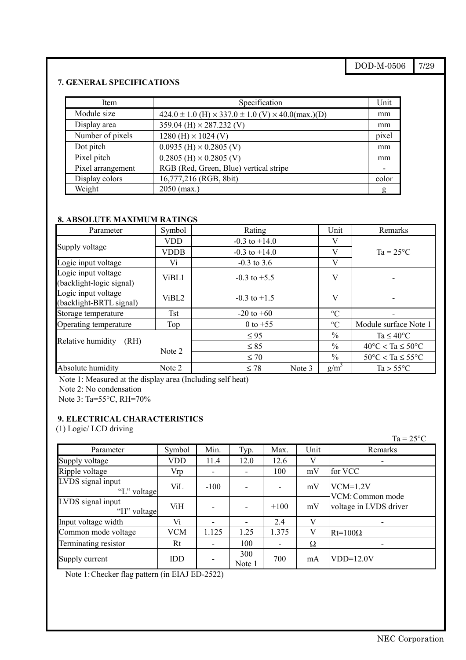# DOD-M-0506 7/29

#### **7. GENERAL SPECIFICATIONS**

| Item              | Specification                                                           | Unit  |
|-------------------|-------------------------------------------------------------------------|-------|
| Module size       | $424.0 \pm 1.0$ (H) $\times$ 337.0 $\pm$ 1.0 (V) $\times$ 40.0(max.)(D) | mm    |
| Display area      | 359.04 (H) $\times$ 287.232 (V)                                         | mm    |
| Number of pixels  | $1280$ (H) $\times$ 1024 (V)                                            | pixel |
| Dot pitch         | $0.0935$ (H) $\times$ 0.2805 (V)                                        | mm    |
| Pixel pitch       | $0.2805$ (H) $\times$ 0.2805 (V)                                        | mm    |
| Pixel arrangement | RGB (Red, Green, Blue) vertical stripe                                  |       |
| Display colors    | 16,777,216 (RGB, 8bit)                                                  | color |
| Weight            | $2050$ (max.)                                                           | g     |

# **8. ABSOLUTE MAXIMUM RATINGS**

| Parameter                                       | Symbol            | Rating              | Unit            | Remarks                                 |
|-------------------------------------------------|-------------------|---------------------|-----------------|-----------------------------------------|
|                                                 | <b>VDD</b>        | $-0.3$ to $+14.0$   | V               |                                         |
| Supply voltage                                  | <b>VDDB</b>       | $-0.3$ to $+14.0$   | V               | $Ta = 25^{\circ}C$                      |
| Logic input voltage                             | Vi                | $-0.3$ to 3.6       | V               |                                         |
| Logic input voltage<br>(backlight-logic signal) | ViBL1             | $-0.3$ to $+5.5$    | V               |                                         |
| Logic input voltage<br>(backlight-BRTL signal)  | ViBL <sub>2</sub> | $-0.3$ to $+1.5$    | V               |                                         |
| Storage temperature                             | Tst               | $-20$ to $+60$      | $\rm ^{\circ}C$ | -                                       |
| Operating temperature                           | Top               | 0 to $+55$          | $\rm ^{\circ}C$ | Module surface Note 1                   |
|                                                 |                   | $\leq 95$           | $\%$            | Ta $\leq 40^{\circ}$ C                  |
| Relative humidity<br>(RH)                       | Note 2            | $\leq 85$           | $\frac{0}{0}$   | $40^{\circ}$ C < Ta $\leq 50^{\circ}$ C |
|                                                 |                   | $\leq 70$           | $\frac{0}{0}$   | $50^{\circ}$ C < Ta $\leq 55^{\circ}$ C |
| Absolute humidity                               | Note 2            | $\leq 78$<br>Note 3 | $g/m^3$         | $Ta > 55^{\circ}C$                      |

Note 1: Measured at the display area (Including self heat)

Note 2: No condensation

Note 3: Ta=55°C, RH=70%

# **9. ELECTRICAL CHARACTERISTICS**

(1) Logic/ LCD driving

|                                  |            |        |               |        |      | $Ta = 25^{\circ}C$                         |
|----------------------------------|------------|--------|---------------|--------|------|--------------------------------------------|
| Parameter                        | Symbol     | Min.   | Typ.          | Max.   | Unit | Remarks                                    |
| Supply voltage                   | VDD        | 11.4   | 12.0          | 12.6   | V    | -                                          |
| Ripple voltage                   | Vrp        | -      |               | 100    | mV   | for VCC                                    |
| LVDS signal input<br>"L" voltage | ViL        | $-100$ |               | ٠      | mV   | $VCM=1.2V$                                 |
| LVDS signal input<br>"H" voltage | ViH        |        |               | $+100$ | mV   | VCM: Common mode<br>voltage in LVDS driver |
| Input voltage width              | Vi         |        |               | 2.4    | V    | ۰                                          |
| Common mode voltage              | <b>VCM</b> | 1.125  | 1.25          | 1.375  | V    | $Rt=100\Omega$                             |
| Terminating resistor             | Rt         | -      | 100           | ٠      | Ω    | ۰                                          |
| Supply current                   | IDD        |        | 300<br>Note 1 | 700    | mA   | $VDD=12.0V$                                |

Note 1: Checker flag pattern (in EIAJ ED-2522)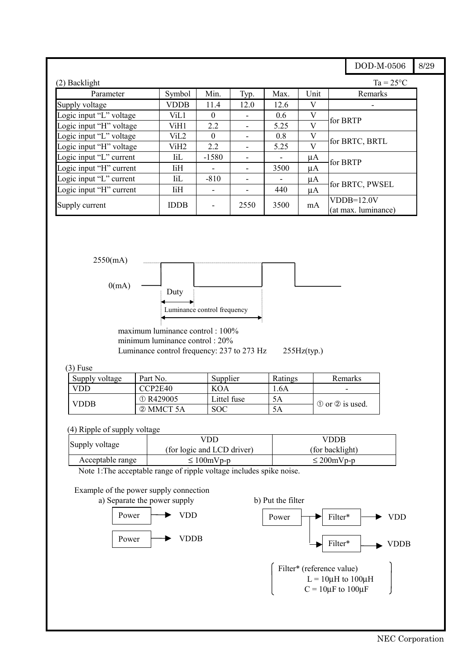|                         |             |                          |      |      |      | DOD-M-0506                          | 8/29 |
|-------------------------|-------------|--------------------------|------|------|------|-------------------------------------|------|
| (2) Backlight           |             |                          |      |      |      | $Ta = 25^{\circ}C$                  |      |
| Parameter               | Symbol      | Min.                     | Typ. | Max. | Unit | Remarks                             |      |
| Supply voltage          | <b>VDDB</b> | 11.4                     | 12.0 | 12.6 | V    |                                     |      |
| Logic input "L" voltage | ViL1        | $\Omega$                 |      | 0.6  | V    |                                     |      |
| Logic input "H" voltage | ViH1        | 2.2                      |      | 5.25 | V    | for BRTP                            |      |
| Logic input "L" voltage | ViL2        | $\Omega$                 |      | 0.8  | V    | for BRTC, BRTL                      |      |
| Logic input "H" voltage | ViH2        | 2.2                      |      | 5.25 | V    |                                     |      |
| Logic input "L" current | <b>IiL</b>  | $-1580$                  |      |      | μA   | for BRTP                            |      |
| Logic input "H" current | <b>IiH</b>  | $\overline{\phantom{a}}$ |      | 3500 | μA   |                                     |      |
| Logic input "L" current | $\rm{IiL}$  | $-810$                   |      |      | μA   |                                     |      |
| Logic input "H" current | ΙiΗ         | $\overline{\phantom{0}}$ |      | 440  | μA   | for BRTC, PWSEL                     |      |
| Supply current          | <b>IDDB</b> | ۳                        | 2550 | 3500 | mA   | $VDDB=12.0V$<br>(at max. luminance) |      |



minimum luminance control : 20% Luminance control frequency: 237 to 273 Hz 255Hz(typ.)

#### (3) Fuse

| Supply voltage | Part No.        | Supplier    | Ratings | Remarks                                 |
|----------------|-----------------|-------------|---------|-----------------------------------------|
| VDD            | CCP2E40         | <b>KOA</b>  | .6A     | -                                       |
| <b>VDDB</b>    | $\circ$ R429005 | Littel fuse | 5Α      |                                         |
|                | 2 MMCT 5A       | SOC         | 5Α      | $\circled{1}$ or $\circled{2}$ is used. |

#### (4) Ripple of supply voltage

|                  | /DD                        | VDDB            |  |  |
|------------------|----------------------------|-----------------|--|--|
| Supply voltage   | (for logic and LCD driver) | (for backlight) |  |  |
| Acceptable range | $\leq 100$ mVp-p           | $\leq$ 200mVp-p |  |  |

Note 1:The acceptable range of ripple voltage includes spike noise.

### Example of the power supply connection



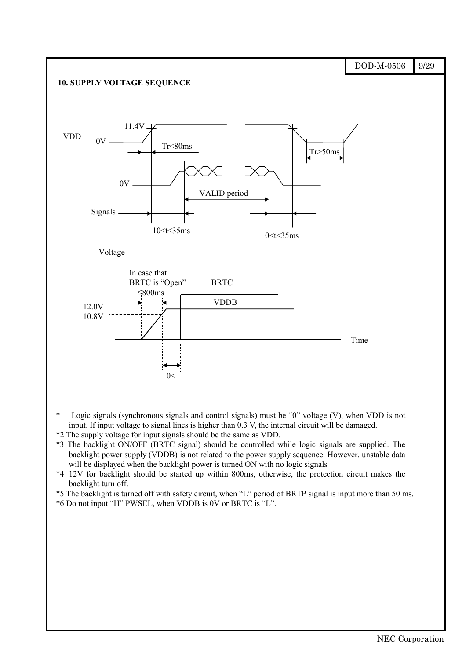

- \*3 The backlight ON/OFF (BRTC signal) should be controlled while logic signals are supplied. The backlight power supply (VDDB) is not related to the power supply sequence. However, unstable data will be displayed when the backlight power is turned ON with no logic signals
- \*4 12V for backlight should be started up within 800ms, otherwise, the protection circuit makes the backlight turn off.
- \*5 The backlight is turned off with safety circuit, when "L" period of BRTP signal is input more than 50 ms. \*6 Do not input "H" PWSEL, when VDDB is 0V or BRTC is "L".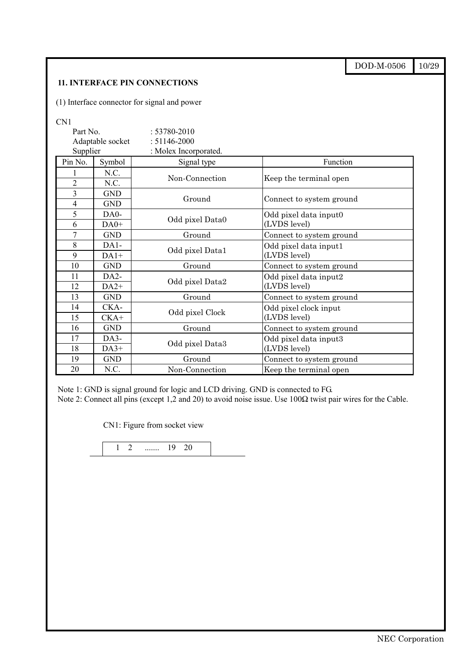|                |                   |                                              |                                 | DOD-M-0506 | 10/29 |  |
|----------------|-------------------|----------------------------------------------|---------------------------------|------------|-------|--|
|                |                   | <b>11. INTERFACE PIN CONNECTIONS</b>         |                                 |            |       |  |
|                |                   | (1) Interface connector for signal and power |                                 |            |       |  |
|                |                   |                                              |                                 |            |       |  |
| CN1            |                   |                                              |                                 |            |       |  |
| Part No.       |                   | $: 53780 - 2010$                             |                                 |            |       |  |
|                | Adaptable socket  | $: 51146 - 2000$                             |                                 |            |       |  |
| Supplier       |                   | : Molex Incorporated.                        |                                 |            |       |  |
| Pin No.        | Symbol            | Signal type                                  | Function                        |            |       |  |
|                | N.C.              | Non-Connection                               |                                 |            |       |  |
| $\overline{2}$ | N.C.              |                                              | Keep the terminal open          |            |       |  |
| $\overline{3}$ | <b>GND</b>        | Ground<br>Connect to system ground           |                                 |            |       |  |
| 4              | <b>GND</b>        |                                              |                                 |            |       |  |
| 5              | DA0-              |                                              |                                 |            |       |  |
| 6              | $DA0+$            |                                              | Odd pixel Data0<br>(LVDS level) |            |       |  |
| $\overline{7}$ | <b>GND</b>        | Ground                                       | Connect to system ground        |            |       |  |
| 8              | $DA1-$            |                                              | Odd pixel data input1           |            |       |  |
| 9              | $DA1+$            | Odd pixel Data1                              | (LVDS level)                    |            |       |  |
| 10             | <b>GND</b>        | Ground                                       | Connect to system ground        |            |       |  |
| 11             | DA <sub>2</sub> - |                                              | Odd pixel data input2           |            |       |  |
| 12             | $DA2+$            | Odd pixel Data2                              | (LVDS level)                    |            |       |  |
| 13             | <b>GND</b>        | Ground                                       | Connect to system ground        |            |       |  |
| 14             | CKA-              |                                              | Odd pixel clock input           |            |       |  |
| 15             | $CKA+$            | Odd pixel Clock                              | (LVDS level)                    |            |       |  |
| 16             | <b>GND</b>        | Ground                                       | Connect to system ground        |            |       |  |
| 17             | DA3-              |                                              | Odd pixel data input3           |            |       |  |
| 18             | $DA3+$            | Odd pixel Data3                              | (LVDS level)                    |            |       |  |
| 19             | <b>GND</b>        | Ground                                       | Connect to system ground        |            |       |  |
| 20             | N.C.              | Non-Connection                               | Keep the terminal open          |            |       |  |

Note 1: GND is signal ground for logic and LCD driving. GND is connected to FG. Note 2: Connect all pins (except 1,2 and 20) to avoid noise issue. Use 100Ω twist pair wires for the Cable.

CN1: Figure from socket view

$$
\begin{array}{|c|c|c|c|c|}\n\hline\n1 & 2 & \dots & 19 & 20\n\end{array}
$$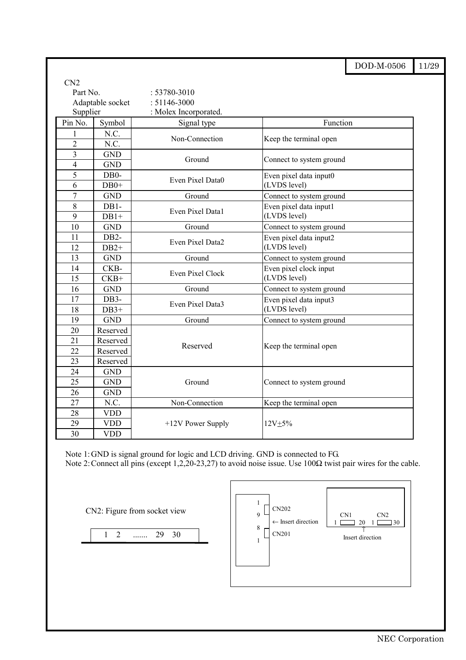|                |                   |                                                            |                          | DOD-M-0506 | 11/29 |  |  |
|----------------|-------------------|------------------------------------------------------------|--------------------------|------------|-------|--|--|
| CN2            |                   |                                                            |                          |            |       |  |  |
| Part No.       |                   | $: 53780 - 3010$                                           |                          |            |       |  |  |
|                | Adaptable socket  | $: 51146 - 3000$                                           |                          |            |       |  |  |
| Supplier       |                   | : Molex Incorporated.                                      |                          |            |       |  |  |
| Pin No.        | Symbol            | Signal type                                                | Function                 |            |       |  |  |
| 1              | N.C.              |                                                            |                          |            |       |  |  |
| $\overline{2}$ | N.C.              | Non-Connection                                             | Keep the terminal open   |            |       |  |  |
| 3              | <b>GND</b>        | Ground                                                     |                          |            |       |  |  |
| $\overline{4}$ | <b>GND</b>        |                                                            | Connect to system ground |            |       |  |  |
| 5              | DB <sub>0</sub> - | Even Pixel Data0                                           | Even pixel data input0   |            |       |  |  |
| 6              | $DB0+$            |                                                            | (LVDS level)             |            |       |  |  |
| $\overline{7}$ | <b>GND</b>        | Ground                                                     | Connect to system ground |            |       |  |  |
| 8              | DB1-              | Even Pixel Data1                                           | Even pixel data input1   |            |       |  |  |
| 9              | $DB1+$            |                                                            | (LVDS level)             |            |       |  |  |
| 10             | <b>GND</b>        | Ground                                                     | Connect to system ground |            |       |  |  |
| 11             | DB <sub>2</sub> - | Even pixel data input2<br>Even Pixel Data2<br>(LVDS level) |                          |            |       |  |  |
| 12             | $DB2+$            |                                                            |                          |            |       |  |  |
| 13             | <b>GND</b>        | Ground                                                     | Connect to system ground |            |       |  |  |
| 14             | CKB-              | <b>Even Pixel Clock</b>                                    | Even pixel clock input   |            |       |  |  |
| 15             | $CKB+$            |                                                            | (LVDS level)             |            |       |  |  |
| 16             | <b>GND</b>        | Ground                                                     | Connect to system ground |            |       |  |  |
| 17             | DB3-              | Even Pixel Data3                                           | Even pixel data input3   |            |       |  |  |
| 18             | $DB3+$            |                                                            | (LVDS level)             |            |       |  |  |
| 19             | <b>GND</b>        | Ground                                                     | Connect to system ground |            |       |  |  |
| 20             | Reserved          |                                                            |                          |            |       |  |  |
| 21             | Reserved          | Reserved                                                   | Keep the terminal open   |            |       |  |  |
| 22             | Reserved          |                                                            |                          |            |       |  |  |
| 23             | Reserved          |                                                            |                          |            |       |  |  |
| 24             | <b>GND</b>        |                                                            |                          |            |       |  |  |
| 25             | <b>GND</b>        | Ground                                                     | Connect to system ground |            |       |  |  |
| 26             | <b>GND</b>        |                                                            |                          |            |       |  |  |
| 27             | N.C.              | Non-Connection                                             | Keep the terminal open   |            |       |  |  |
| 28             | <b>VDD</b>        |                                                            |                          |            |       |  |  |
| 29             | <b>VDD</b>        | $+12V$ Power Supply                                        | $12V + 5%$               |            |       |  |  |
| 30             | <b>VDD</b>        |                                                            |                          |            |       |  |  |

Note 1: GND is signal ground for logic and LCD driving. GND is connected to FG. Note 2: Connect all pins (except 1,2,20-23,27) to avoid noise issue. Use 100Ω twist pair wires for the cable.

CN2: Figure from socket view

1 2 ....... 29 30

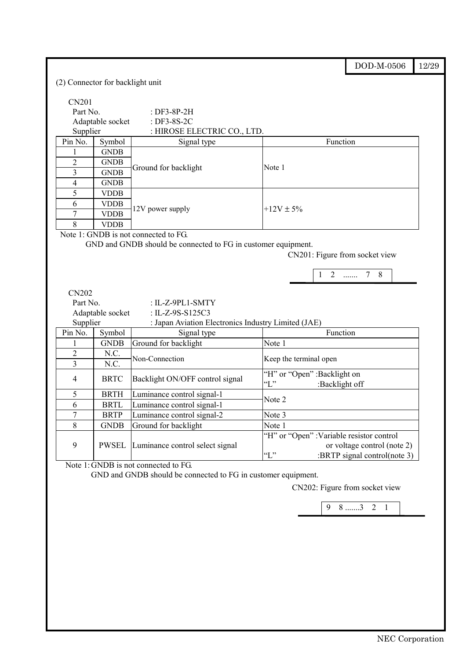|                                  |                            |                                                               |                                                               | DOD-M-0506                                                  | 12/29 |  |
|----------------------------------|----------------------------|---------------------------------------------------------------|---------------------------------------------------------------|-------------------------------------------------------------|-------|--|
| (2) Connector for backlight unit |                            |                                                               |                                                               |                                                             |       |  |
| <b>CN201</b>                     |                            |                                                               |                                                               |                                                             |       |  |
| Part No.                         |                            | : $DF3-8P-2H$                                                 |                                                               |                                                             |       |  |
| Adaptable socket                 |                            | : DF3-8S-2C                                                   |                                                               |                                                             |       |  |
| Supplier                         |                            | : HIROSE ELECTRIC CO., LTD.                                   |                                                               |                                                             |       |  |
| Pin No.                          | Symbol                     | Signal type                                                   | Function                                                      |                                                             |       |  |
| 1                                | <b>GNDB</b>                |                                                               |                                                               |                                                             |       |  |
| $\overline{2}$                   | <b>GNDB</b>                |                                                               |                                                               |                                                             |       |  |
| 3                                | <b>GNDB</b>                | Ground for backlight                                          | Note 1                                                        |                                                             |       |  |
| 4                                | <b>GNDB</b>                |                                                               |                                                               |                                                             |       |  |
| 5                                | <b>VDDB</b>                |                                                               |                                                               |                                                             |       |  |
| 6                                | <b>VDDB</b>                |                                                               |                                                               |                                                             |       |  |
| 7                                | <b>VDDB</b>                | 12V power supply                                              | $+12V \pm 5\%$                                                |                                                             |       |  |
| 8                                | <b>VDDB</b>                |                                                               |                                                               |                                                             |       |  |
|                                  |                            | Note 1: GNDB is not connected to FG.                          |                                                               |                                                             |       |  |
|                                  |                            | GND and GNDB should be connected to FG in customer equipment. |                                                               |                                                             |       |  |
|                                  |                            |                                                               | CN201: Figure from socket view                                |                                                             |       |  |
|                                  |                            |                                                               |                                                               |                                                             |       |  |
|                                  |                            |                                                               | $1\quad 2$                                                    | $7\overline{ }$<br>8<br>$\ldots$                            |       |  |
|                                  |                            |                                                               |                                                               |                                                             |       |  |
| <b>CN202</b>                     |                            |                                                               |                                                               |                                                             |       |  |
| Part No.                         |                            | : IL-Z-9PL1-SMTY                                              |                                                               |                                                             |       |  |
| Adaptable socket                 |                            | : IL-Z-9S-S125C3                                              |                                                               |                                                             |       |  |
| Supplier                         |                            | : Japan Aviation Electronics Industry Limited (JAE)           |                                                               |                                                             |       |  |
| Pin No.                          | Symbol                     | Signal type                                                   | Function                                                      |                                                             |       |  |
|                                  | <b>GNDB</b>                |                                                               |                                                               |                                                             |       |  |
| $\overline{2}$                   |                            | Ground for backlight                                          | Note 1                                                        |                                                             |       |  |
|                                  | N.C.                       |                                                               |                                                               |                                                             |       |  |
| 3                                | N.C.                       | Non-Connection                                                | Keep the terminal open                                        |                                                             |       |  |
| 4                                | <b>BRTC</b>                | Backlight ON/OFF control signal                               | "H" or "Open" :Backlight on<br>$\lq\lq L$ "<br>:Backlight off |                                                             |       |  |
| 5                                | <b>BRTH</b>                |                                                               |                                                               |                                                             |       |  |
| 6                                |                            | Luminance control signal-1                                    | Note 2                                                        |                                                             |       |  |
| 7                                | <b>BRTL</b><br><b>BRTP</b> | Luminance control signal-1                                    | Note 3                                                        |                                                             |       |  |
|                                  |                            | Luminance control signal-2                                    |                                                               |                                                             |       |  |
| 8                                | <b>GNDB</b>                | Ground for backlight                                          | Note 1                                                        |                                                             |       |  |
|                                  |                            |                                                               | "H" or "Open" : Variable resistor control                     |                                                             |       |  |
| 9                                | <b>PWSEL</b>               | Luminance control select signal                               | $\lq\lq L$ "                                                  | or voltage control (note 2)<br>:BRTP signal control(note 3) |       |  |

GND and GNDB should be connected to FG in customer equipment.

CN202: Figure from socket view

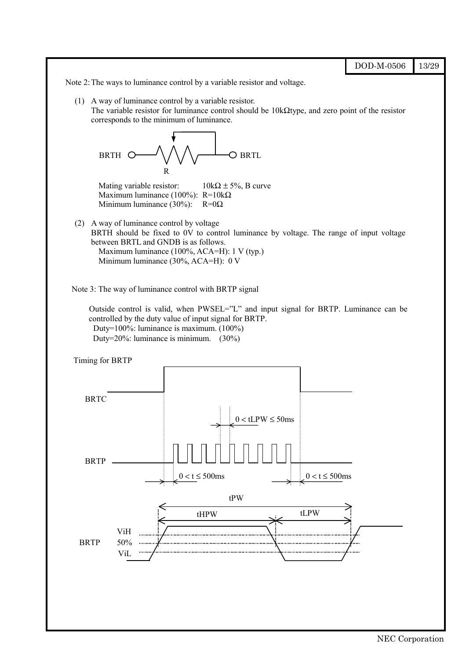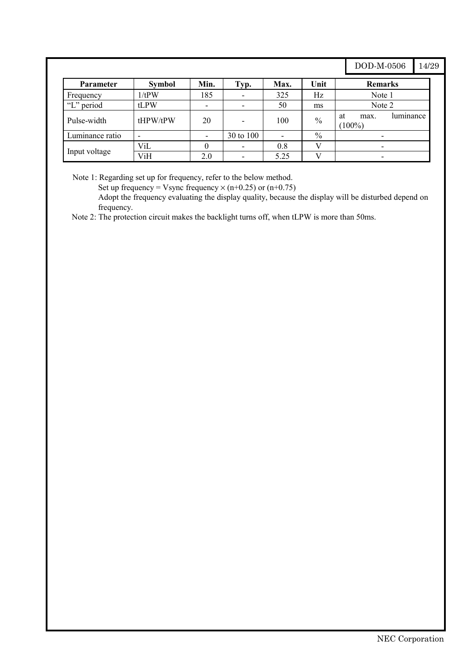# DOD-M-0506 14/29

| <b>Parameter</b> | <b>Symbol</b> | Min. | Typ.                     | Max.           | Unit          | <b>Remarks</b>                       |
|------------------|---------------|------|--------------------------|----------------|---------------|--------------------------------------|
| Frequency        | 1/tPW         | 185  |                          | 325            | Hz            | Note 1                               |
| "L" period       | tLPW          | ٠    | $\overline{\phantom{a}}$ | 50             | ms            | Note 2                               |
| Pulse-width      | tHPW/tPW      | 20   | $\overline{\phantom{a}}$ | 100            | $\%$          | luminance<br>at<br>max.<br>$(100\%)$ |
| Luminance ratio  |               | ۰    | 30 to 100                | $\overline{a}$ | $\frac{0}{0}$ |                                      |
|                  | ViL           |      |                          | 0.8            |               |                                      |
| Input voltage    | ViH           | 2.0  |                          | 5.25           |               | ٠                                    |

Note 1: Regarding set up for frequency, refer to the below method.

Set up frequency = Vsync frequency  $\times$  (n+0.25) or (n+0.75)

Adopt the frequency evaluating the display quality, because the display will be disturbed depend on frequency.

Note 2: The protection circuit makes the backlight turns off, when tLPW is more than 50ms.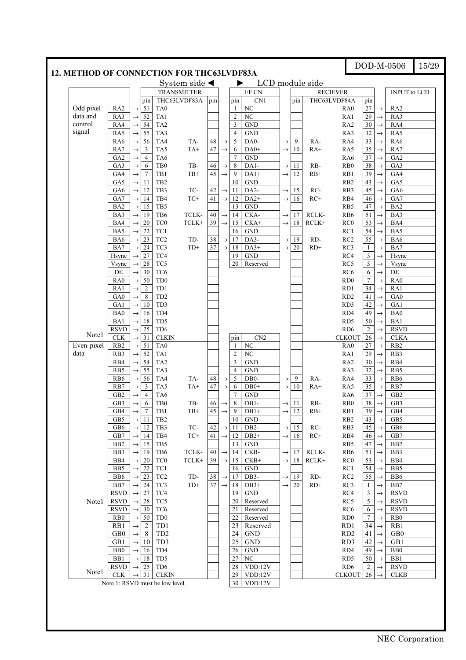|            |                  |               |                  | 12. METHOD OF CONNECTION FOR THC63LVDF83A |                          |                 |               |                  |                      |               |     |                 |                  |                  |               |                     |  |
|------------|------------------|---------------|------------------|-------------------------------------------|--------------------------|-----------------|---------------|------------------|----------------------|---------------|-----|-----------------|------------------|------------------|---------------|---------------------|--|
|            |                  |               |                  |                                           | System side $\leftarrow$ |                 |               | ▶                |                      |               |     | LCD module side |                  |                  |               |                     |  |
|            |                  |               |                  | <b>TRANSMITTER</b>                        |                          |                 |               |                  | I/F CN               |               |     |                 | <b>RECIEVER</b>  |                  |               | <b>INPUT</b> to LCD |  |
|            |                  |               | pin              | THC63LVDF83A                              |                          | pin             |               | pin              | CN1                  |               | pin |                 | THC63LVDF84A     | pin              |               |                     |  |
| Odd pixel  | RA <sub>2</sub>  | $\rightarrow$ | 51               | TA <sub>0</sub>                           |                          |                 |               | 1                | NC                   |               |     |                 | RA0              | 27               | $\rightarrow$ | RA <sub>2</sub>     |  |
| data and   | RA3              | $\rightarrow$ | 52               | TA1                                       |                          |                 |               | $\overline{2}$   | NC                   |               |     |                 | RA1              | 29               | $\rightarrow$ | RA3                 |  |
| control    | RA4              | $\rightarrow$ | 54               | TA <sub>2</sub>                           |                          |                 |               | 3                | <b>GND</b>           |               |     |                 | RA <sub>2</sub>  | 30               | $\rightarrow$ | RA4                 |  |
| signal     | RA5              | $\rightarrow$ | 55               | TA3                                       |                          |                 |               | $\overline{4}$   | <b>GND</b>           |               |     |                 | RA3              | 32               | $\rightarrow$ | RA5                 |  |
|            | RA6              | $\rightarrow$ | 56               | TA4                                       | TA-                      | 48              |               | $\sqrt{5}$       | DA0-                 | $\rightarrow$ | 9   | RA-             | RA4              | 33               | $\rightarrow$ | RA6                 |  |
|            |                  |               | $\mathbf{3}$     | TA5                                       |                          | 47              | $\rightarrow$ |                  |                      |               | 10  |                 |                  | 35               |               |                     |  |
|            | RA7              | $\rightarrow$ |                  |                                           | $TA+$                    |                 | $\rightarrow$ | 6                | DA0+                 | $\rightarrow$ |     | $RA+$           | RA5              |                  | $\rightarrow$ | RA7                 |  |
|            | GA <sub>2</sub>  | $\rightarrow$ | $\overline{4}$   | TA6                                       |                          |                 |               | $\overline{7}$   | <b>GND</b>           |               |     |                 | RA6              | 37               | $\rightarrow$ | GA <sub>2</sub>     |  |
|            | GA3              | $\rightarrow$ | 6                | TB <sub>0</sub>                           | TB-                      | 46              | $\rightarrow$ | 8                | DA1-                 | $\rightarrow$ | 11  | RB-             | R <sub>B</sub> 0 | 38               | $\rightarrow$ | GA3                 |  |
|            | GA4              | $\rightarrow$ | $\tau$           | TB1                                       | $TB+$                    | 45              | $\rightarrow$ | 9                | $DA1+$               | $\rightarrow$ | 12  | $RB+$           | RB1              | 39               | $\rightarrow$ | GA4                 |  |
|            | GA5              | $\rightarrow$ | -11              | TB <sub>2</sub>                           |                          |                 |               | 10               | $\operatorname{GND}$ |               |     |                 | R <sub>B2</sub>  | 43               | $\rightarrow$ | GA5                 |  |
|            | GA6              | $\rightarrow$ | 12               | TB <sub>3</sub>                           | TC-                      | 42              | $\rightarrow$ | 11               | DA <sub>2</sub> -    | $\rightarrow$ | 15  | RC-             | RB3              | 45               | $\rightarrow$ | GA6                 |  |
|            | GA7              | $\rightarrow$ | 14               | TB4                                       | $TC+$                    | 41              | $\rightarrow$ | 12               | $DA2+$               | $\rightarrow$ | 16  | $RC+$           | RB4              | 46               | $\rightarrow$ | GA7                 |  |
|            | BA <sub>2</sub>  | $\rightarrow$ | 15               | TB5                                       |                          |                 |               | 13               | <b>GND</b>           |               |     |                 | RB5              | 47               | $\rightarrow$ | BA <sub>2</sub>     |  |
|            | BA3              | $\rightarrow$ | 19               | TB6                                       | TCLK-                    | 40              | $\rightarrow$ | 14               | CKA-                 | $\rightarrow$ | 17  | RCLK-           | RB <sub>6</sub>  | 51               | $\rightarrow$ | BA3                 |  |
|            | BA4              | $\rightarrow$ | 20               | TC <sub>0</sub>                           | $TCLK+$                  | 39              | $\rightarrow$ | 15               | $CKA+$               | $\rightarrow$ | 18  | $RCLK+$         | RC <sub>0</sub>  | 53               | $\rightarrow$ | BA4                 |  |
|            | BA5              | $\rightarrow$ | 22               | TC1                                       |                          |                 |               | 16               | <b>GND</b>           |               |     |                 | RC1              | 54               | $\rightarrow$ | BA5                 |  |
|            | BA6              | $\rightarrow$ | 23               | TC <sub>2</sub>                           | TD-                      | $3\,$           | $\rightarrow$ | 17               | DA3-                 | $\rightarrow$ | 19  | RD-             | RC2              | 55               | $\rightarrow$ | BA6                 |  |
|            | BA7              | $\rightarrow$ | 24               | TC3                                       | $TD+$                    | $\overline{37}$ | $\rightarrow$ | 18               | $DA3+$               | $\rightarrow$ | 20  | $RD+$           | RC3              | $\mathbf{1}$     | $\rightarrow$ | BA7                 |  |
|            | Hsync            | $\rightarrow$ | 27               | TC4                                       |                          |                 |               | 19               | <b>GND</b>           |               |     |                 | RC4              | $\mathfrak{Z}$   | $\rightarrow$ | Hsync               |  |
|            | Vsync            |               | 28               | TC5                                       |                          |                 |               | 20               | Reserved             |               |     |                 | RC5              | $\sqrt{5}$       |               |                     |  |
|            |                  | $\rightarrow$ |                  |                                           |                          |                 |               |                  |                      |               |     |                 |                  |                  | $\rightarrow$ | Vsync               |  |
|            | DE               | $\rightarrow$ | 30               | TC <sub>6</sub>                           |                          |                 |               |                  |                      |               |     |                 | RC <sub>6</sub>  | 6                | $\rightarrow$ | $\rm DE$            |  |
|            | RA <sub>0</sub>  | $\rightarrow$ | 50               | TD <sub>0</sub>                           |                          |                 |               |                  |                      |               |     |                 | RD <sub>0</sub>  | $\boldsymbol{7}$ | $\rightarrow$ | RA0                 |  |
|            | RA1              | $\rightarrow$ | $\overline{2}$   | TD1                                       |                          |                 |               |                  |                      |               |     |                 | RD1              | 34               | $\rightarrow$ | RA1                 |  |
|            | GA0              | $\rightarrow$ | 8                | TD <sub>2</sub>                           |                          |                 |               |                  |                      |               |     |                 | RD <sub>2</sub>  | 41               | $\rightarrow$ | GA <sub>0</sub>     |  |
|            | GA1              | $\rightarrow$ | 10               | TD3                                       |                          |                 |               |                  |                      |               |     |                 | RD3              | 42               | $\rightarrow$ | GA1                 |  |
|            | BA <sub>0</sub>  | $\rightarrow$ | 16               | TD4                                       |                          |                 |               |                  |                      |               |     |                 | RD4              | 49               | $\rightarrow$ | BA0                 |  |
|            | BA1              | $\rightarrow$ | 18               | TD5                                       |                          |                 |               |                  |                      |               |     |                 | RD <sub>5</sub>  | 50               | $\rightarrow$ | BA1                 |  |
|            | <b>RSVD</b>      | $\rightarrow$ | $25\,$           | TD <sub>6</sub>                           |                          |                 |               |                  |                      |               |     |                 | RD <sub>6</sub>  | $\overline{2}$   | $\rightarrow$ | <b>RSVD</b>         |  |
| Note1      | <b>CLK</b>       | $\rightarrow$ | 31               | <b>CLKIN</b>                              |                          |                 |               | pin              | CN2                  |               |     |                 | <b>CLKOUT</b>    | $26\,$           | $\rightarrow$ | <b>CLKA</b>         |  |
| Even pixel | R <sub>B2</sub>  | $\rightarrow$ | 51               | TA <sub>0</sub>                           |                          |                 |               | 1                | $\rm NC$             |               |     |                 | RA <sub>0</sub>  | 27               | $\rightarrow$ | RB <sub>2</sub>     |  |
| data       | RB3              | $\rightarrow$ | 52               | TA1                                       |                          |                 |               | $\overline{2}$   | NC                   |               |     |                 | RA1              | 29               | $\rightarrow$ | RB3                 |  |
|            | RB4              | $\rightarrow$ | 54               | TA <sub>2</sub>                           |                          |                 |               | 3                | <b>GND</b>           |               |     |                 | RA <sub>2</sub>  | 30               | $\rightarrow$ | RB4                 |  |
|            | RB5              | $\rightarrow$ | 55               | TA3                                       |                          |                 |               | $\overline{4}$   | <b>GND</b>           |               |     |                 | RA3              | 32               | $\rightarrow$ | RB5                 |  |
|            | R <sub>B6</sub>  | $\rightarrow$ | 56               | TA4                                       | TA-                      | 48              | $\rightarrow$ | $\sqrt{5}$       | DB <sub>0</sub> -    | $\rightarrow$ | 9   | RA-             | RA4              | 33               | $\rightarrow$ | R <sub>B6</sub>     |  |
|            | RB7              | $\rightarrow$ | $\mathfrak{Z}$   | TA5                                       | $TA+$                    | 47              | $\rightarrow$ | 6                | $DB0+$               | $\rightarrow$ | 10  | $RA+$           | RA5              | 35               | $\rightarrow$ | RB7                 |  |
|            | GB <sub>2</sub>  |               | $\overline{4}$   | TA6                                       |                          |                 |               | $\overline{7}$   | <b>GND</b>           |               |     |                 |                  | 37               |               | GB <sub>2</sub>     |  |
|            |                  | $\rightarrow$ |                  | TB <sub>0</sub>                           |                          |                 |               |                  |                      |               |     |                 | RA6              | 38               | $\rightarrow$ |                     |  |
|            | GB3              | $\rightarrow$ | 6                |                                           | TB-                      | 46              | $\rightarrow$ | $\,8\,$          | DB1-                 | $\rightarrow$ | 11  | RB-             | R <sub>B</sub> 0 |                  | $\rightarrow$ | GB3                 |  |
|            | $\overline{GB4}$ |               | $\boldsymbol{7}$ | $\rm TB1$                                 | $\rm TB+$                | 45              |               | 9                | $DB1+$               |               | 12  | $RB+$           | $\mathbf{RB}1$   | 39               |               | ${\bf G}{\bf B}4$   |  |
|            | GB5              | $\rightarrow$ | 11               | TB <sub>2</sub>                           |                          |                 |               | 10               | <b>GND</b>           |               |     |                 | R <sub>B2</sub>  | 43               | $\rightarrow$ | GB5                 |  |
|            | GB6              | $\rightarrow$ | 12               | TB <sub>3</sub>                           | TC-                      | 42              |               | $\rightarrow$ 11 | DB <sub>2</sub> -    | $\rightarrow$ | 15  | RC-             | RB3              | 45               | $\rightarrow$ | GB6                 |  |
|            | GB7              | $\rightarrow$ | 14               | TB4                                       | $TC+$                    | 41              | $\rightarrow$ | 12               | $DB2+$               | $\rightarrow$ | 16  | $RC+$           | RB4              | 46               | $\rightarrow$ | GB7                 |  |
|            | B <sub>B2</sub>  | $\rightarrow$ | 15               | TB5                                       |                          |                 |               | 13               | <b>GND</b>           |               |     |                 | RB5              | 47               | $\rightarrow$ | B <sub>B2</sub>     |  |
|            | BB3              | $\rightarrow$ | -19              | TB6                                       | TCLK-                    | 40              | $\rightarrow$ | 14               | CKB-                 | $\rightarrow$ | 17  | RCLK-           | R <sub>B6</sub>  | 51               | $\rightarrow$ | BB3                 |  |
|            | BB4              |               | $\rightarrow 20$ | TC <sub>0</sub>                           | TCLK+                    | 39              | $\rightarrow$ | 15               | $CKB+$               | $\rightarrow$ | 18  | $RCLK+$         | RC <sub>0</sub>  | 53               | $\rightarrow$ | BB4                 |  |
|            | B <sub>B5</sub>  | $\rightarrow$ | 22               | TC1                                       |                          |                 |               | 16               | <b>GND</b>           |               |     |                 | RC1              | 54               | $\rightarrow$ | BB5                 |  |
|            | B <sub>B6</sub>  | $\rightarrow$ | 23               | TC <sub>2</sub>                           | TD-                      | $3\,$           | $\rightarrow$ | 17               | $DB3-$               | $\rightarrow$ | 19  | RD-             | RC2              | 55               | $\rightarrow$ | BB6                 |  |
|            | BB7              | $\rightarrow$ | 24               | TC3                                       | $TD+$                    | 37              | $\rightarrow$ | 18               | $DB3+$               | $\rightarrow$ | 20  | $RD+$           | RC3              | $\mathbf{1}$     | $\rightarrow$ | BB7                 |  |
|            | <b>RSVD</b>      |               | $\rightarrow$ 27 | TC4                                       |                          |                 |               | 19               | <b>GND</b>           |               |     |                 | RC4              | 3                | $\rightarrow$ | <b>RSVD</b>         |  |
| Note1      | <b>RSVD</b>      | $\rightarrow$ | 28               | TC5                                       |                          |                 |               | 20               | Reserved             |               |     |                 | RC5              | 5                | $\rightarrow$ | <b>RSVD</b>         |  |
|            | <b>RSVD</b>      | $\rightarrow$ | 30               | TC <sub>6</sub>                           |                          |                 |               | 21               | Reserved             |               |     |                 | RC <sub>6</sub>  | 6                | $\rightarrow$ | <b>RSVD</b>         |  |
|            |                  |               |                  | TD <sub>0</sub>                           |                          |                 |               |                  |                      |               |     |                 | RD0              | $\tau$           |               |                     |  |
|            | R <sub>B</sub> 0 | $\rightarrow$ | 50               |                                           |                          |                 |               | 22               | Reserved             |               |     |                 |                  |                  | $\rightarrow$ | R <sub>B0</sub>     |  |
|            | R <sub>B</sub> 1 | $\rightarrow$ | $\overline{c}$   | TD1                                       |                          |                 |               | 23               | Reserved             |               |     |                 | RD1              | 34               | $\rightarrow$ | R <sub>B</sub> 1    |  |
|            | GB <sub>0</sub>  | $\rightarrow$ | 8                | TD <sub>2</sub>                           |                          |                 |               | 24               | <b>GND</b>           |               |     |                 | RD <sub>2</sub>  | 41               | $\rightarrow$ | GB <sub>0</sub>     |  |
|            | GB1              | $\rightarrow$ | 10               | TD <sub>3</sub>                           |                          |                 |               | 25               | <b>GND</b>           |               |     |                 | RD3              | 42               | $\rightarrow$ | GB1                 |  |
|            | B <sub>B</sub>   | $\rightarrow$ | 16               | TD <sub>4</sub>                           |                          |                 |               | 26               | <b>GND</b>           |               |     |                 | RD4              | 49               | $\rightarrow$ | B <sub>B</sub>      |  |
|            | B <sub>B1</sub>  |               | $\rightarrow$ 18 | TD <sub>5</sub>                           |                          |                 |               | 27               | NC                   |               |     |                 | RD <sub>5</sub>  | 50               | $\rightarrow$ | B <sub>B</sub> 1    |  |
|            | <b>RSVD</b>      | $\rightarrow$ | 25               | TD <sub>6</sub>                           |                          |                 |               | 28               | VDD:12V              |               |     |                 | RD <sub>6</sub>  | $\boldsymbol{2}$ | $\rightarrow$ | <b>RSVD</b>         |  |
| Note l     | <b>CLK</b>       | $\rightarrow$ | 31               | <b>CLKIN</b>                              |                          |                 |               | 29               | VDD:12V              |               |     |                 | <b>CLKOUT</b>    | 26               | $\rightarrow$ | <b>CLKB</b>         |  |
|            |                  |               |                  |                                           |                          |                 |               |                  |                      |               |     |                 |                  |                  |               |                     |  |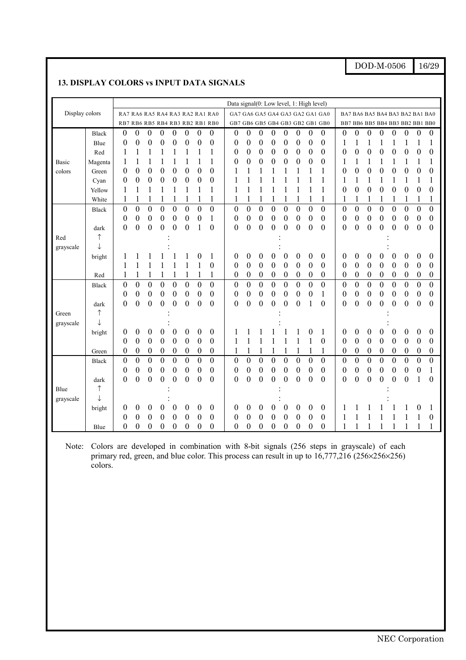DOD-M-0506 16/29

#### **13. DISPLAY COLORS vs INPUT DATA SIGNALS**

|                |              |                  |                                 |                  |                  |                  |                  |                  |                                 | Data signal(0: Low level, 1: High level) |                  |                  |                  |                  |                                 |                                 |                  |                  |                  |                  |                  |                  |                  |                  |                  |
|----------------|--------------|------------------|---------------------------------|------------------|------------------|------------------|------------------|------------------|---------------------------------|------------------------------------------|------------------|------------------|------------------|------------------|---------------------------------|---------------------------------|------------------|------------------|------------------|------------------|------------------|------------------|------------------|------------------|------------------|
| Display colors |              |                  | RA7 RA6 RA5 RA4 RA3 RA2 RA1 RA0 |                  |                  |                  |                  |                  | GA7 GA6 GA5 GA4 GA3 GA2 GA1 GA0 |                                          |                  |                  |                  |                  |                                 | BA7 BA6 BA5 BA4 BA3 BA2 BA1 BA0 |                  |                  |                  |                  |                  |                  |                  |                  |                  |
|                |              |                  | RB7 RB6 RB5 RB4 RB3 RB2 RB1 RB0 |                  |                  |                  |                  |                  |                                 | GB7 GB6 GB5 GB4 GB3 GB2 GB1 GB0          |                  |                  |                  |                  | BB7 BB6 BB5 BB4 BB3 BB2 BB1 BB0 |                                 |                  |                  |                  |                  |                  |                  |                  |                  |                  |
|                | <b>Black</b> | 0                | $\boldsymbol{0}$                | 0                | 0                | 0                | 0                | $\theta$         | $\boldsymbol{0}$                | 0                                        | 0                | 0                | $\boldsymbol{0}$ | 0                | $\boldsymbol{0}$                | $\boldsymbol{0}$                | $\boldsymbol{0}$ | 0                | $\boldsymbol{0}$ | 0                | $\boldsymbol{0}$ | 0                | $\boldsymbol{0}$ | $\boldsymbol{0}$ | $\boldsymbol{0}$ |
|                | Blue         | $\boldsymbol{0}$ | $\boldsymbol{0}$                | $\boldsymbol{0}$ | $\boldsymbol{0}$ | $\boldsymbol{0}$ | $\boldsymbol{0}$ | $\boldsymbol{0}$ | $\boldsymbol{0}$                | 0                                        | $\boldsymbol{0}$ | 0                | $\boldsymbol{0}$ | $\boldsymbol{0}$ | $\boldsymbol{0}$                | $\boldsymbol{0}$                | $\boldsymbol{0}$ |                  | 1                |                  |                  |                  |                  | 1                | 1                |
|                | Red          | 1                | 1                               | 1                | 1                | 1                |                  | 1                | $\mathbf{1}$                    | 0                                        | $\boldsymbol{0}$ | $\boldsymbol{0}$ | $\boldsymbol{0}$ | $\boldsymbol{0}$ | $\boldsymbol{0}$                | $\boldsymbol{0}$                | $\boldsymbol{0}$ | 0                | $\boldsymbol{0}$ | $\boldsymbol{0}$ | $\boldsymbol{0}$ | $\boldsymbol{0}$ | $\boldsymbol{0}$ | $\boldsymbol{0}$ | $\boldsymbol{0}$ |
| Basic          | Magenta      | 1                | $\mathbf{1}$                    |                  | $\mathbf{1}$     |                  |                  | $\mathbf{1}$     | $\mathbf{1}$                    | $\boldsymbol{0}$                         | $\boldsymbol{0}$ | $\boldsymbol{0}$ | $\boldsymbol{0}$ | $\boldsymbol{0}$ | $\boldsymbol{0}$                | $\boldsymbol{0}$                | $\overline{0}$   | 1                | $\mathbf{1}$     | 1                | $\mathbf{1}$     | $\mathbf{1}$     | 1                | 1                | 1                |
| colors         | Green        | $\theta$         | $\overline{0}$                  | $\boldsymbol{0}$ | $\overline{0}$   | $\overline{0}$   | $\overline{0}$   | $\boldsymbol{0}$ | $\boldsymbol{0}$                |                                          | 1                | 1                | 1                |                  | 1                               | 1                               | 1                | 0                | $\boldsymbol{0}$ | $\boldsymbol{0}$ | $\overline{0}$   | $\boldsymbol{0}$ | $\overline{0}$   | $\mathbf{0}$     | $\boldsymbol{0}$ |
|                | Cyan         | $\overline{0}$   | $\overline{0}$                  | $\boldsymbol{0}$ | $\boldsymbol{0}$ | $\overline{0}$   | $\boldsymbol{0}$ | $\boldsymbol{0}$ | $\boldsymbol{0}$                | 1                                        | $\mathbf{1}$     | $\mathbf{1}$     |                  |                  | 1                               | $\mathbf{1}$                    | 1                | 1                | 1                | 1                | $\mathbf{1}$     | $\mathbf{1}$     | 1                | 1                | 1                |
|                | Yellow       | 1                | 1                               | 1                | 1                | 1                | 1                | 1                | 1                               | 1                                        | 1                | 1                | 1                |                  | 1                               | 1                               | 1                | 0                | $\boldsymbol{0}$ | $\boldsymbol{0}$ | $\overline{0}$   | $\boldsymbol{0}$ | $\boldsymbol{0}$ | 0                | $\boldsymbol{0}$ |
|                | White        | 1                | 1                               |                  | 1                | 1                |                  | 1                | 1                               |                                          |                  | 1                | 1                | 1                | 1                               |                                 | 1                | 1                | 1                | 1                | 1                | 1                | 1                | 1                | 1                |
|                | <b>Black</b> | $\theta$         | $\boldsymbol{0}$                | $\boldsymbol{0}$ | $\mathbf{0}$     | 0                | $\boldsymbol{0}$ | $\theta$         | $\boldsymbol{0}$                | $\theta$                                 | $\theta$         | $\boldsymbol{0}$ | $\boldsymbol{0}$ | $\boldsymbol{0}$ | $\overline{0}$                  | $\boldsymbol{0}$                | $\boldsymbol{0}$ | 0                | $\boldsymbol{0}$ | 0                | $\overline{0}$   | $\boldsymbol{0}$ | $\boldsymbol{0}$ | 0                | $\boldsymbol{0}$ |
|                |              | $\overline{0}$   | $\boldsymbol{0}$                | $\boldsymbol{0}$ | $\boldsymbol{0}$ | $\boldsymbol{0}$ | $\boldsymbol{0}$ | $\boldsymbol{0}$ | $\mathbf{1}$                    | 0                                        | $\boldsymbol{0}$ | $\boldsymbol{0}$ | $\boldsymbol{0}$ | $\boldsymbol{0}$ | $\boldsymbol{0}$                | $\boldsymbol{0}$                | $\boldsymbol{0}$ | 0                | $\boldsymbol{0}$ | $\boldsymbol{0}$ | $\boldsymbol{0}$ | 0                | $\boldsymbol{0}$ | $\boldsymbol{0}$ | $\boldsymbol{0}$ |
|                | dark         | $\theta$         | $\overline{0}$                  | $\boldsymbol{0}$ | $\mathbf{0}$     | 0                | $\overline{0}$   | 1                | $\mathbf{0}$                    | $\overline{0}$                           | $\boldsymbol{0}$ | $\boldsymbol{0}$ | $\overline{0}$   | $\theta$         | $\boldsymbol{0}$                | $\boldsymbol{0}$                | $\overline{0}$   | $\overline{0}$   | $\boldsymbol{0}$ | $\boldsymbol{0}$ | $\overline{0}$   | $\theta$         | $\theta$         | $\boldsymbol{0}$ | $\theta$         |
| Red            | $\uparrow$   |                  |                                 |                  |                  |                  |                  |                  |                                 |                                          |                  |                  |                  |                  |                                 |                                 |                  |                  |                  |                  |                  |                  |                  |                  |                  |
| grayscale      | $\downarrow$ |                  |                                 |                  |                  |                  |                  |                  |                                 |                                          |                  |                  |                  |                  |                                 |                                 |                  |                  |                  |                  |                  |                  |                  |                  |                  |
|                | bright       |                  |                                 |                  |                  |                  |                  | $\boldsymbol{0}$ | 1                               | 0                                        | $\theta$         | 0                | $\boldsymbol{0}$ | 0                | $\boldsymbol{0}$                | 0                               | $\boldsymbol{0}$ | 0                | $\boldsymbol{0}$ | 0                | 0                | 0                | $\boldsymbol{0}$ | $\boldsymbol{0}$ | $\theta$         |
|                |              | 1                | 1                               |                  | 1                |                  |                  | 1                | $\boldsymbol{0}$                | $\boldsymbol{0}$                         | $\boldsymbol{0}$ | $\boldsymbol{0}$ | $\boldsymbol{0}$ | $\boldsymbol{0}$ | $\mathbf{0}$                    | $\boldsymbol{0}$                | $\boldsymbol{0}$ | 0                | $\boldsymbol{0}$ | $\boldsymbol{0}$ | $\boldsymbol{0}$ | $\boldsymbol{0}$ | $\boldsymbol{0}$ | $\boldsymbol{0}$ | $\boldsymbol{0}$ |
|                | Red          | 1                | 1                               | 1                | 1                | $\mathbf{1}$     |                  | 1                | 1                               | $\theta$                                 | $\boldsymbol{0}$ | $\boldsymbol{0}$ | $\boldsymbol{0}$ | $\boldsymbol{0}$ | $\boldsymbol{0}$                | $\boldsymbol{0}$                | $\boldsymbol{0}$ | 0                | $\boldsymbol{0}$ | $\boldsymbol{0}$ | $\boldsymbol{0}$ | $\boldsymbol{0}$ | 0                | $\boldsymbol{0}$ | $\boldsymbol{0}$ |
|                | <b>Black</b> | $\boldsymbol{0}$ | $\overline{0}$                  | $\boldsymbol{0}$ | $\overline{0}$   | $\overline{0}$   | $\mathbf{0}$     | $\overline{0}$   | $\boldsymbol{0}$                | $\boldsymbol{0}$                         | $\mathbf{0}$     | $\overline{0}$   | $\overline{0}$   | $\boldsymbol{0}$ | $\overline{0}$                  | $\overline{0}$                  | $\overline{0}$   | $\boldsymbol{0}$ | $\overline{0}$   | $\overline{0}$   | $\overline{0}$   | $\overline{0}$   | $\boldsymbol{0}$ | $\overline{0}$   | $\boldsymbol{0}$ |
|                |              | $\overline{0}$   | $\boldsymbol{0}$                | $\boldsymbol{0}$ | $\boldsymbol{0}$ | $\boldsymbol{0}$ | $\boldsymbol{0}$ | $\boldsymbol{0}$ | $\boldsymbol{0}$                | $\boldsymbol{0}$                         | $\boldsymbol{0}$ | $\boldsymbol{0}$ | $\boldsymbol{0}$ | $\boldsymbol{0}$ | $\boldsymbol{0}$                | $\boldsymbol{0}$                | $\mathbf{1}$     | 0                | $\boldsymbol{0}$ | $\boldsymbol{0}$ | $\boldsymbol{0}$ | $\boldsymbol{0}$ | $\boldsymbol{0}$ | $\boldsymbol{0}$ | $\boldsymbol{0}$ |
|                | dark         | $\boldsymbol{0}$ | $\boldsymbol{0}$                | $\boldsymbol{0}$ | $\boldsymbol{0}$ | $\boldsymbol{0}$ | $\boldsymbol{0}$ | $\theta$         | $\boldsymbol{0}$                | $\boldsymbol{0}$                         | $\boldsymbol{0}$ | $\boldsymbol{0}$ | $\boldsymbol{0}$ | $\boldsymbol{0}$ | $\boldsymbol{0}$                | 1                               | $\overline{0}$   | $\boldsymbol{0}$ | $\boldsymbol{0}$ | 0                | $\overline{0}$   | $\boldsymbol{0}$ | $\boldsymbol{0}$ | $\theta$         | $\boldsymbol{0}$ |
| Green          | $\uparrow$   |                  |                                 |                  |                  |                  |                  |                  |                                 |                                          |                  |                  |                  |                  |                                 |                                 |                  |                  |                  |                  |                  |                  |                  |                  |                  |
| grayscale      | T            |                  |                                 |                  |                  |                  |                  |                  |                                 |                                          |                  |                  |                  |                  |                                 |                                 |                  |                  |                  |                  |                  |                  |                  |                  |                  |
|                | bright       | 0                | $\boldsymbol{0}$                | 0                | $\boldsymbol{0}$ | $\theta$         | 0                | $\boldsymbol{0}$ | $\boldsymbol{0}$                |                                          |                  |                  |                  |                  |                                 | 0                               | 1                | 0                | $\boldsymbol{0}$ | 0                | $\boldsymbol{0}$ | 0                | $\boldsymbol{0}$ | $\boldsymbol{0}$ | $\boldsymbol{0}$ |
|                |              | $\boldsymbol{0}$ | $\boldsymbol{0}$                | $\boldsymbol{0}$ | $\boldsymbol{0}$ | $\boldsymbol{0}$ | $\boldsymbol{0}$ | $\boldsymbol{0}$ | $\boldsymbol{0}$                |                                          |                  | 1                | 1                |                  | 1                               | 1                               | $\boldsymbol{0}$ | $\boldsymbol{0}$ | $\boldsymbol{0}$ | $\boldsymbol{0}$ | $\boldsymbol{0}$ | $\boldsymbol{0}$ | $\mathbf{0}$     | $\boldsymbol{0}$ | $\boldsymbol{0}$ |
|                | Green        | $\overline{0}$   | $\boldsymbol{0}$                | $\boldsymbol{0}$ | $\boldsymbol{0}$ | 0                | $\boldsymbol{0}$ | $\boldsymbol{0}$ | $\boldsymbol{0}$                | 1                                        |                  | 1                | 1                |                  | 1                               |                                 | $\mathbf{1}$     | 0                | $\boldsymbol{0}$ | 0                | $\boldsymbol{0}$ | 0                | $\boldsymbol{0}$ | $\boldsymbol{0}$ | $\boldsymbol{0}$ |
|                | <b>Black</b> | $\overline{0}$   | $\overline{0}$                  | $\mathbf{0}$     | $\overline{0}$   | $\overline{0}$   | $\overline{0}$   | $\overline{0}$   | $\overline{0}$                  | $\overline{0}$                           | $\boldsymbol{0}$ | $\boldsymbol{0}$ | $\overline{0}$   | $\boldsymbol{0}$ | $\overline{0}$                  | $\overline{0}$                  | $\overline{0}$   | $\boldsymbol{0}$ | $\overline{0}$   | $\mathbf{0}$     | $\overline{0}$   | $\overline{0}$   | $\boldsymbol{0}$ | $\overline{0}$   | $\overline{0}$   |
|                |              | $\overline{0}$   | $\boldsymbol{0}$                | $\boldsymbol{0}$ | $\boldsymbol{0}$ | $\boldsymbol{0}$ | $\boldsymbol{0}$ | $\boldsymbol{0}$ | $\boldsymbol{0}$                | $\boldsymbol{0}$                         | $\boldsymbol{0}$ | $\boldsymbol{0}$ | $\boldsymbol{0}$ | $\boldsymbol{0}$ | $\boldsymbol{0}$                | $\boldsymbol{0}$                | $\boldsymbol{0}$ | $\boldsymbol{0}$ | $\boldsymbol{0}$ | $\boldsymbol{0}$ | $\boldsymbol{0}$ | $\boldsymbol{0}$ | $\boldsymbol{0}$ | $\boldsymbol{0}$ | 1                |
|                | dark         | $\theta$         | $\overline{0}$                  | $\boldsymbol{0}$ | $\overline{0}$   | $\overline{0}$   | $\overline{0}$   | $\mathbf{0}$     | $\mathbf{0}$                    | $\overline{0}$                           | $\boldsymbol{0}$ | $\overline{0}$   | $\theta$         | $\mathbf{0}$     | $\overline{0}$                  | $\overline{0}$                  | $\theta$         | $\theta$         | $\overline{0}$   | $\mathbf{0}$     | $\overline{0}$   | $\overline{0}$   | $\mathbf{0}$     | 1                | $\mathbf{0}$     |
| Blue           | ↑            |                  |                                 |                  |                  |                  |                  |                  |                                 |                                          |                  |                  |                  |                  |                                 |                                 |                  |                  |                  |                  |                  |                  |                  |                  |                  |
| grayscale      | T            |                  |                                 |                  |                  |                  |                  |                  |                                 |                                          |                  |                  |                  |                  |                                 |                                 |                  |                  |                  |                  |                  |                  |                  |                  |                  |
|                | bright       | 0                | $\boldsymbol{0}$                | 0                | $\boldsymbol{0}$ | 0                | 0                | $\mathbf{0}$     | $\boldsymbol{0}$                | 0                                        | $\mathbf{0}$     | $\boldsymbol{0}$ | $\theta$         | 0                | $\theta$                        | 0                               | 0                |                  |                  |                  |                  |                  |                  | 0                | 1                |
|                |              | $\theta$         | $\boldsymbol{0}$                | $\theta$         | $\boldsymbol{0}$ | 0                | $\boldsymbol{0}$ | $\theta$         | $\boldsymbol{0}$                | $\theta$                                 | $\theta$         | $\theta$         | $\boldsymbol{0}$ | $\theta$         | $\boldsymbol{0}$                | $\boldsymbol{0}$                | $\boldsymbol{0}$ |                  |                  |                  |                  |                  |                  | 1                | $\theta$         |
|                | Blue         | $\boldsymbol{0}$ | $\boldsymbol{0}$                | $\boldsymbol{0}$ | $\boldsymbol{0}$ | $\boldsymbol{0}$ | $\boldsymbol{0}$ | $\boldsymbol{0}$ | $\boldsymbol{0}$                | 0                                        | $\boldsymbol{0}$ | $\boldsymbol{0}$ | $\boldsymbol{0}$ | $\boldsymbol{0}$ | $\boldsymbol{0}$                | $\boldsymbol{0}$                | $\overline{0}$   | 1                |                  |                  |                  |                  |                  |                  | 1                |

Note: Colors are developed in combination with 8-bit signals (256 steps in grayscale) of each primary red, green, and blue color. This process can result in up to 16,777,216 (256×256×256) colors.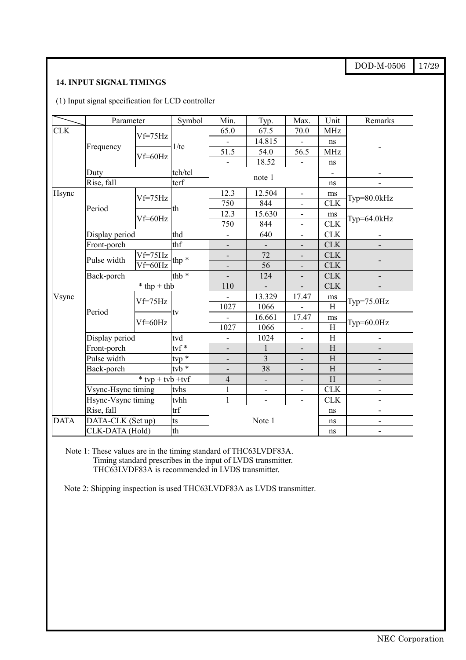DOD-M-0506 17/29

# **14. INPUT SIGNAL TIMINGS**

(1) Input signal specification for LCD controller

|             | Parameter                                |                    | Symbol                        | Min.                     | Typ.                     | Max.                     | Unit                      | Remarks                      |
|-------------|------------------------------------------|--------------------|-------------------------------|--------------------------|--------------------------|--------------------------|---------------------------|------------------------------|
| <b>CLK</b>  |                                          | $Vf=75Hz$          |                               | 65.0                     | 67.5                     | 70.0                     | <b>MHz</b>                |                              |
|             |                                          |                    | 1/tc                          | $\frac{1}{2}$            | 14.815                   | $\mathbf{r}$             | ns                        |                              |
|             | Frequency                                | Vf=60Hz            |                               | 51.5                     | 54.0                     | 56.5                     | <b>MHz</b>                |                              |
|             |                                          |                    |                               | $\overline{a}$           | 18.52                    | $\overline{\phantom{a}}$ | ns                        |                              |
|             | Duty                                     |                    | tch/tcl                       |                          | note 1                   |                          |                           |                              |
|             | Rise, fall                               |                    | tcrf                          |                          |                          |                          | ns                        |                              |
| Hsync       |                                          | $Vf=75Hz$          |                               | 12.3                     | 12.504                   | $\overline{\phantom{a}}$ | ms                        | $Typ = 80.0kHz$              |
|             | Period                                   |                    | th                            | 750                      | 844                      | $\blacksquare$           | <b>CLK</b>                |                              |
|             |                                          | Vf=60Hz            |                               | 12.3                     | 15.630                   | $\overline{\phantom{a}}$ | ms                        |                              |
|             |                                          |                    |                               | 750                      | 844                      | $\blacksquare$           | <b>CLK</b>                | Typ= $64.0$ kHz              |
|             |                                          | Display period     |                               | $\overline{\phantom{a}}$ | 640                      | $\blacksquare$           | <b>CLK</b>                | $\overline{\phantom{0}}$     |
|             | Front-porch                              |                    | thf                           |                          | $\blacksquare$           | $\overline{\phantom{a}}$ | <b>CLK</b>                |                              |
|             | Pulse width                              | $Vf=75Hz$          | thp $*$                       | $\overline{\phantom{a}}$ | 72                       |                          | <b>CLK</b>                |                              |
|             |                                          | Vf=60Hz            |                               | $\overline{\phantom{0}}$ | 56                       | $\overline{\phantom{a}}$ | <b>CLK</b>                |                              |
|             | Back-porch                               |                    | thb $*$                       |                          | 124                      | $\frac{1}{2}$            | <b>CLK</b>                |                              |
|             |                                          | $*$ thp + thb      |                               | 110                      | ÷,                       | $\overline{a}$           | <b>CLK</b>                |                              |
| Vsync       |                                          |                    |                               | $\overline{a}$           | 13.329                   | 17.47                    | ms                        | $Typ=75.0 Hz$                |
|             | Period                                   | Vf=75Hz            |                               | 1027                     | 1066                     |                          | $\rm H$                   |                              |
|             |                                          | $Vf=60Hz$          | tv                            | $\overline{\phantom{0}}$ | 16.661                   | 17.47                    | ms                        |                              |
|             |                                          |                    |                               | 1027                     | 1066                     | $\overline{\phantom{a}}$ | $\boldsymbol{\mathrm{H}}$ | Typ= $60.0$ Hz               |
|             | Display period                           |                    | tvd                           | $\frac{1}{2}$            | 1024                     | $\overline{a}$           | $\boldsymbol{\mathrm{H}}$ | $\overline{\phantom{a}}$     |
|             | Front-porch                              |                    | $\mathop{\rm tvf}\nolimits^*$ | $\overline{\phantom{a}}$ | $\mathbf{1}$             | $\overline{\phantom{a}}$ | H                         | $\overline{\phantom{a}}$     |
|             | Pulse width                              |                    | $tvp *$                       |                          | $\overline{3}$           |                          | H                         |                              |
|             | Back-porch                               |                    | $tvb*$                        |                          | 38                       |                          | H                         |                              |
|             |                                          | $*$ tvp + tvb +tvf |                               | $\overline{4}$           | $\overline{\phantom{a}}$ | $\overline{\phantom{a}}$ | H                         |                              |
|             | Vsync-Hsync timing<br>Hsync-Vsync timing |                    | tvhs                          | $\mathbf{1}$             | $\overline{\phantom{a}}$ | $\overline{\phantom{a}}$ | CLK                       | Ĭ.                           |
|             |                                          |                    | tvhh                          | $\mathbf{1}$             | $\overline{\phantom{a}}$ | $\overline{\phantom{a}}$ | <b>CLK</b>                | $\qquad \qquad \blacksquare$ |
|             | Rise, fall                               |                    | trf                           |                          |                          |                          | ns                        |                              |
| <b>DATA</b> | DATA-CLK (Set up)                        |                    | ts                            |                          | Note 1                   |                          | ns                        | $\overline{\phantom{a}}$     |
|             | CLK-DATA (Hold)                          |                    | th                            |                          |                          |                          | ns                        | ۰                            |

Note 1: These values are in the timing standard of THC63LVDF83A. Timing standard prescribes in the input of LVDS transmitter. THC63LVDF83A is recommended in LVDS transmitter.

Note 2: Shipping inspection is used THC63LVDF83A as LVDS transmitter.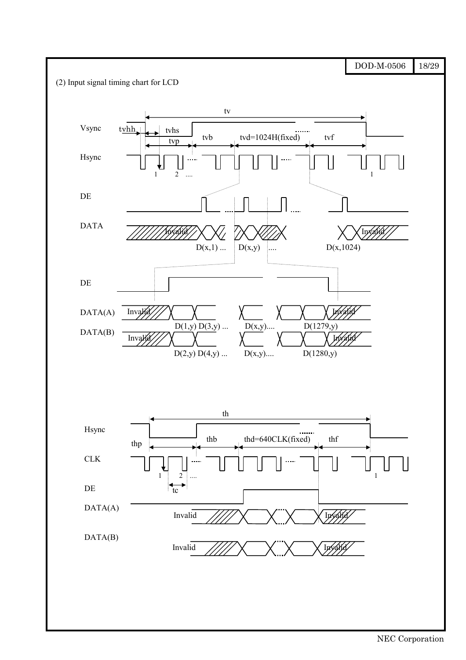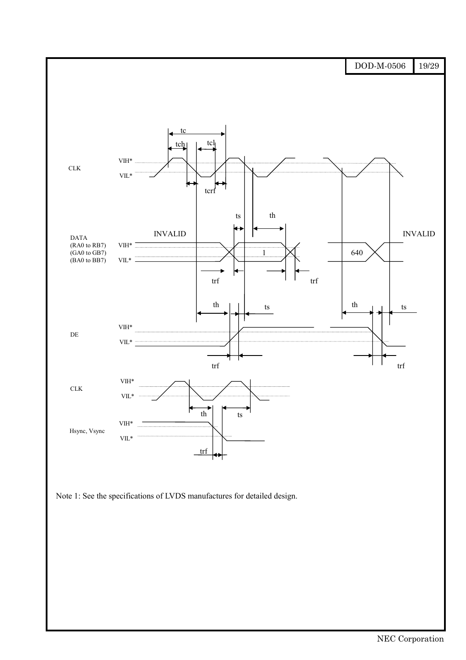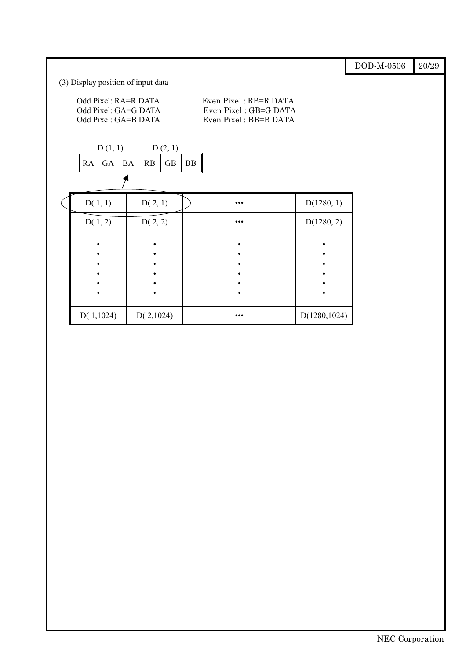|                                                                      |         |           |           |         |            |                                                                         |               | DOD-M-0506 | 20/29 |
|----------------------------------------------------------------------|---------|-----------|-----------|---------|------------|-------------------------------------------------------------------------|---------------|------------|-------|
| (3) Display position of input data                                   |         |           |           |         |            |                                                                         |               |            |       |
| Odd Pixel: RA=R DATA<br>Odd Pixel: GA=G DATA<br>Odd Pixel: GA=B DATA |         |           |           |         |            | Even Pixel: RB=R DATA<br>Even Pixel: GB=G DATA<br>Even Pixel: BB=B DATA |               |            |       |
|                                                                      | D(1, 1) |           |           | D(2, 1) |            |                                                                         |               |            |       |
| RA                                                                   | GA      | <b>BA</b> | RB        | GB      | ${\rm BB}$ |                                                                         |               |            |       |
|                                                                      |         |           |           |         |            |                                                                         |               |            |       |
| D(1, 1)                                                              |         |           | D(2, 1)   |         |            | $\bullet\bullet\bullet$                                                 | D(1280, 1)    |            |       |
| D(1, 2)                                                              |         |           | D(2, 2)   |         |            | $\bullet\bullet\bullet$                                                 | D(1280, 2)    |            |       |
|                                                                      |         |           |           |         |            |                                                                         |               |            |       |
|                                                                      |         |           |           |         |            |                                                                         |               |            |       |
|                                                                      |         |           |           |         |            |                                                                         |               |            |       |
|                                                                      |         |           |           |         |            |                                                                         |               |            |       |
|                                                                      |         |           |           |         |            |                                                                         |               |            |       |
| D(1,1024)                                                            |         |           | D(2,1024) |         |            | $\bullet\bullet\bullet$                                                 | D(1280, 1024) |            |       |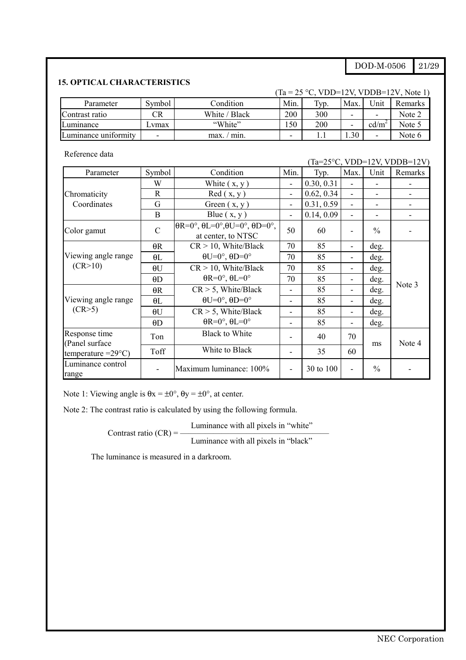#### DOD-M-0506 21/29

### **15. OPTICAL CHARACTERISTICS**

|                      |                          |               |                          | $(Ta = 25 °C, VDD=12V, VDDB=12V, Note 1)$ |      |                          |         |
|----------------------|--------------------------|---------------|--------------------------|-------------------------------------------|------|--------------------------|---------|
| Parameter            | Symbol                   | Condition     | Min.                     | Typ.                                      | Max  | 'Jnit                    | Remarks |
| Contrast ratio       | CR                       | White / Black | 200                      | 300                                       | -    | $\overline{\phantom{a}}$ | Note 2  |
| Luminance            | vmax                     | "White"       | .50                      | 200                                       | -    | cd/m <sup>2</sup>        | Note 5  |
| Luminance uniformity | $\overline{\phantom{0}}$ | min.<br>max.  | $\overline{\phantom{0}}$ |                                           | 1.30 | $\overline{\phantom{0}}$ | Note 6  |

Reference data

(Ta=25°C, VDD=12V, VDDB=12V)

| Parameter                        | Symbol        | Condition                                                                         | Min.                     | Typ.       | Max.                     | Unit          | Remarks |
|----------------------------------|---------------|-----------------------------------------------------------------------------------|--------------------------|------------|--------------------------|---------------|---------|
|                                  | W             | White $(x, y)$                                                                    | $\overline{\phantom{a}}$ | 0.30, 0.31 |                          |               |         |
| Chromaticity                     | R             | Red(x, y)                                                                         | $\overline{\phantom{a}}$ | 0.62, 0.34 | $\overline{\phantom{a}}$ |               |         |
| Coordinates                      | G             | Green $(x, y)$                                                                    | $\overline{\phantom{a}}$ | 0.31, 0.59 | ۰                        |               |         |
|                                  | B             | Blue $(x, y)$                                                                     | $\blacksquare$           | 0.14, 0.09 |                          |               |         |
| Color gamut                      | $\mathcal{C}$ | $\theta$ R=0°, $\theta$ L=0°, $\theta$ U=0°, $\theta$ D=0°,<br>at center, to NTSC | 50                       | 60         |                          | $\frac{0}{0}$ |         |
|                                  | $\theta$ R    | $CR > 10$ , White/Black                                                           | 70                       | 85         | ٠                        | deg.          |         |
| Viewing angle range              | $\theta$ L    | $\theta U=0^\circ$ , $\theta D=0^\circ$                                           | 70                       | 85         | ۰                        | deg.          |         |
| (CR>10)                          | $\theta U$    | $CR > 10$ , White/Black                                                           | 70                       | 85         | ۰                        | deg.          |         |
|                                  | $\theta$ D    | $\theta$ R=0°, $\theta$ L=0°                                                      | 70                       | 85         | ٠                        | deg.          |         |
|                                  | $\theta$ R    | $CR > 5$ , White/Black                                                            | $\overline{a}$           | 85         | -                        | deg.          | Note 3  |
| Viewing angle range              | $\theta$ L    | $\theta U=0^\circ$ , $\theta D=0^\circ$                                           | $\overline{a}$           | 85         |                          | deg.          |         |
| (CR > 5)                         | $\theta U$    | $CR > 5$ , White/Black                                                            |                          | 85         | ۰                        | deg.          |         |
|                                  | $\theta$ D    | $\theta$ R=0°, $\theta$ L=0°                                                      |                          | 85         |                          | deg.          |         |
| Response time<br>(Panel surface) | Ton           | <b>Black to White</b>                                                             |                          | 40         | 70                       | ms            | Note 4  |
| temperature $=29^{\circ}$ C)     | Toff          | White to Black                                                                    | $\overline{a}$           | 35         | 60                       |               |         |
| Luminance control<br>range       |               | Maximum luminance: 100%                                                           | $\overline{\phantom{m}}$ | 30 to 100  | ۳                        | $\%$          |         |

Note 1: Viewing angle is  $\theta$ x =  $\pm 0^{\circ}$ ,  $\theta$ y =  $\pm 0^{\circ}$ , at center.

Note 2: The contrast ratio is calculated by using the following formula.

Luminance with all pixels in "white" Contrast ratio  $(CR) = -$ 

Luminance with all pixels in "black"

The luminance is measured in a darkroom.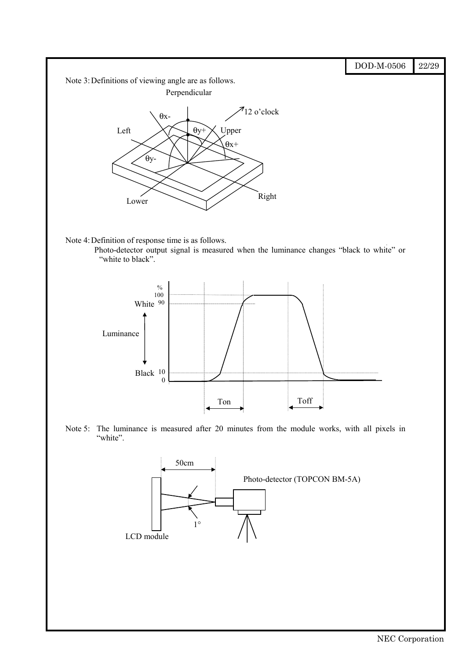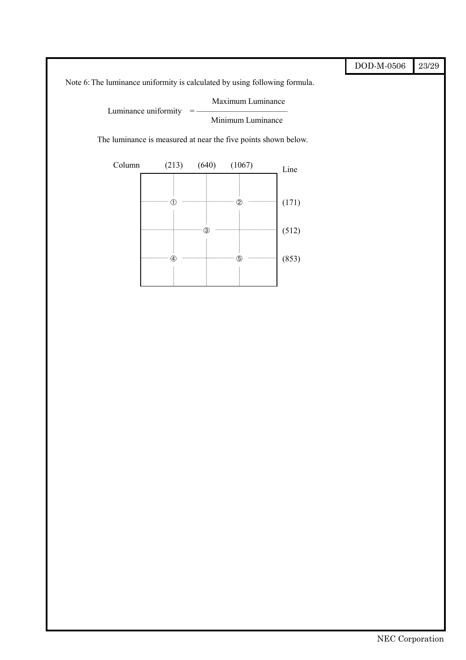|                                                                            |       |       |                   |       | $\rm{DOD\text{-}M\text{-}0506}$ |
|----------------------------------------------------------------------------|-------|-------|-------------------|-------|---------------------------------|
| Note 6: The luminance uniformity is calculated by using following formula. |       |       |                   |       |                                 |
| Luminance uniformity                                                       |       |       | Maximum Luminance |       |                                 |
|                                                                            |       |       | Minimum Luminance |       |                                 |
| The luminance is measured at near the five points shown below.             |       |       |                   |       |                                 |
| Column                                                                     | (213) | (640) | (1067)            | Line  |                                 |
|                                                                            |       |       |                   |       |                                 |
|                                                                            |       |       |                   | (171) |                                 |
|                                                                            |       |       |                   |       |                                 |
|                                                                            |       |       |                   | (512) |                                 |
|                                                                            |       |       |                   | (853) |                                 |
|                                                                            |       |       |                   |       |                                 |
|                                                                            |       |       |                   |       |                                 |
|                                                                            |       |       |                   |       |                                 |
|                                                                            |       |       |                   |       |                                 |
|                                                                            |       |       |                   |       |                                 |
|                                                                            |       |       |                   |       |                                 |
|                                                                            |       |       |                   |       |                                 |
|                                                                            |       |       |                   |       |                                 |
|                                                                            |       |       |                   |       |                                 |
|                                                                            |       |       |                   |       |                                 |
|                                                                            |       |       |                   |       |                                 |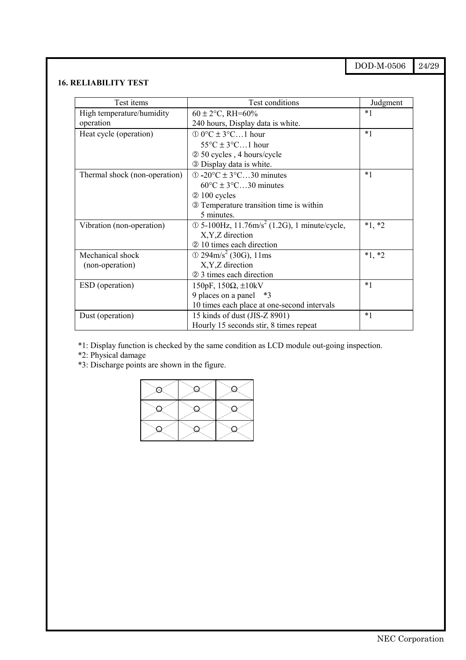DOD-M-0506 24/29

# **16. RELIABILITY TEST**

| Test items                    | Test conditions                                                          | Judgment |
|-------------------------------|--------------------------------------------------------------------------|----------|
| High temperature/humidity     | $60 \pm 2$ °C, RH=60%                                                    | $*1$     |
| operation                     | 240 hours, Display data is white.                                        |          |
| Heat cycle (operation)        | $\textcircled{1}$ 0°C $\pm$ 3°C1 hour                                    | $*1$     |
|                               | $55^{\circ}$ C ± $3^{\circ}$ C1 hour                                     |          |
|                               | 2 50 cycles, 4 hours/cycle                                               |          |
|                               | 3 Display data is white.                                                 |          |
| Thermal shock (non-operation) | $\textcircled{1}$ -20 $\textcircled{C}$ ± 3 $\textcircled{C}$ 30 minutes | $*1$     |
|                               | $60^{\circ}$ C ± 3 $^{\circ}$ C30 minutes                                |          |
|                               | 2 100 cycles                                                             |          |
|                               | <b>3</b> Temperature transition time is within                           |          |
|                               | 5 minutes.                                                               |          |
| Vibration (non-operation)     | $\odot$ 5-100Hz, 11.76m/s <sup>2</sup> (1.2G), 1 minute/cycle,           | $*1, *2$ |
|                               | X, Y, Z direction                                                        |          |
|                               | 2 10 times each direction                                                |          |
| Mechanical shock              | $\textcircled{1}$ 294m/s <sup>2</sup> (30G), 11ms                        | $*1, *2$ |
| (non-operation)               | X, Y, Z direction                                                        |          |
|                               | 2 3 times each direction                                                 |          |
| ESD (operation)               | 150pF, $150\Omega$ , $\pm 10kV$                                          | $*1$     |
|                               | 9 places on a panel *3                                                   |          |
|                               | 10 times each place at one-second intervals                              |          |
| Dust (operation)              | 15 kinds of dust (JIS-Z 8901)                                            | $*1$     |
|                               | Hourly 15 seconds stir, 8 times repeat                                   |          |

\*1: Display function is checked by the same condition as LCD module out-going inspection.

\*2: Physical damage

\*3: Discharge points are shown in the figure.

| سيدس<br>ريداني<br>$\mathbf{H}$<br>e and a construction of the construction of the construction of the construction of the construction of the construction of the construction of the construction of the construction of the construction of the construction o | and a series of the contract of the contract of the contract of the contract of the contract of the contract of the contract of the contract of the contract of the contract of the contract of the contract of the contract o<br>b.<br>en al construction de la construction de la construction de la construction de la construction de la construction de la construction de la construction de la construction de la construction de la construction de la constru | and and some of the contract of the contract of the contract of the contract of the contract of the contract of the contract of the contract of the contract of the contract of the contract of the contract of the contract o<br>h.<br>an San Tanah dan Bandara dan Bandara dan Bandara dan Bandara dan Bandara dan Bandara dan Bandara dan Bandara |
|------------------------------------------------------------------------------------------------------------------------------------------------------------------------------------------------------------------------------------------------------------------|------------------------------------------------------------------------------------------------------------------------------------------------------------------------------------------------------------------------------------------------------------------------------------------------------------------------------------------------------------------------------------------------------------------------------------------------------------------------|------------------------------------------------------------------------------------------------------------------------------------------------------------------------------------------------------------------------------------------------------------------------------------------------------------------------------------------------------|
| and a second contract of the contract of the contract of the contract of the contract of the contract of the contract of the contract of the contract of the contract of the contract of the contract of the contract of the c<br>h.<br>المستحمل المستعمل        | and a second contract of the contract of the contract of the contract of the contract of the contract of the contract of the contract of the contract of the contract of the contract of the contract of the contract of the c<br>h.<br>e and a series of the contract of the contract of the contract of the contract of the contract of the contract of the contract of the contract of the contract of the contract of the contract of the contract of the contract | ÷.,<br>فسينبثث<br>h.<br>and a second contract of the contract of the contract of the contract of the contract of the contract of the contract of the contract of the contract of the contract of the contract of the contract of the contract of the c                                                                                               |
| ч.,<br>مستعيد المستحيل<br>٠.,<br>$\geq$<br>سمسل                                                                                                                                                                                                                  | s.,<br>a and a short of the contract of the contract of the contract of the contract of the contract of the contract of the contract of the contract of the contract of the contract of the contract of the contract of the contract<br>٠.,<br>$\geq$                                                                                                                                                                                                                  | ч.,<br>Charles Charles<br>٠.,<br>Controller of the Control of Control of the Control of The Control of The Control of The Control of The Control of The Control of The Control of The Control of The Control of The Control of The Control of The Control of Th                                                                                      |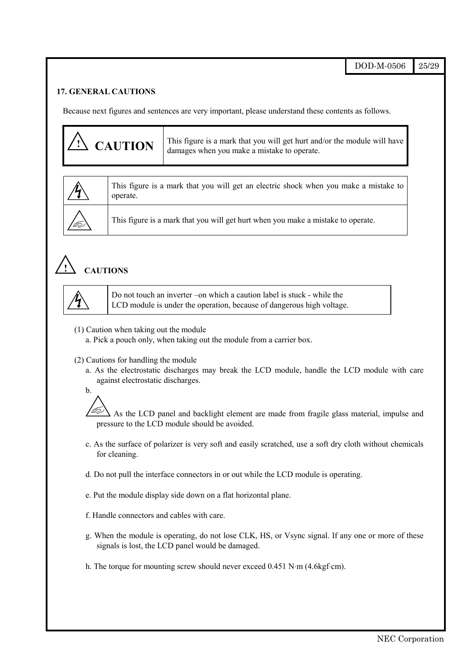DOD-M-0506 25/29

#### **17. GENERAL CAUTIONS**

Because next figures and sentences are very important, please understand these contents as follows.

| $\sqrt{N}$ CAUTION | This figure is a mark that you will get hurt and/or the module will have<br>damages when you make a mistake to operate. |
|--------------------|-------------------------------------------------------------------------------------------------------------------------|
|--------------------|-------------------------------------------------------------------------------------------------------------------------|



This figure is a mark that you will get an electric shock when you make a mistake to operate.

This figure is a mark that you will get hurt when you make a mistake to operate.

# **! CAUTIONS**



Do not touch an inverter –on which a caution label is stuck - while the LCD module is under the operation, because of dangerous high voltage.

(1) Caution when taking out the module

a. Pick a pouch only, when taking out the module from a carrier box.

- (2) Cautions for handling the module
	- a. As the electrostatic discharges may break the LCD module, handle the LCD module with care against electrostatic discharges.



 As the LCD panel and backlight element are made from fragile glass material, impulse and pressure to the LCD module should be avoided.

- c. As the surface of polarizer is very soft and easily scratched, use a soft dry cloth without chemicals for cleaning.
- d. Do not pull the interface connectors in or out while the LCD module is operating.
- e. Put the module display side down on a flat horizontal plane.
- f. Handle connectors and cables with care.
- g. When the module is operating, do not lose CLK, HS, or Vsync signal. If any one or more of these signals is lost, the LCD panel would be damaged.
- h. The torque for mounting screw should never exceed 0.451 N⋅m (4.6kgf⋅cm).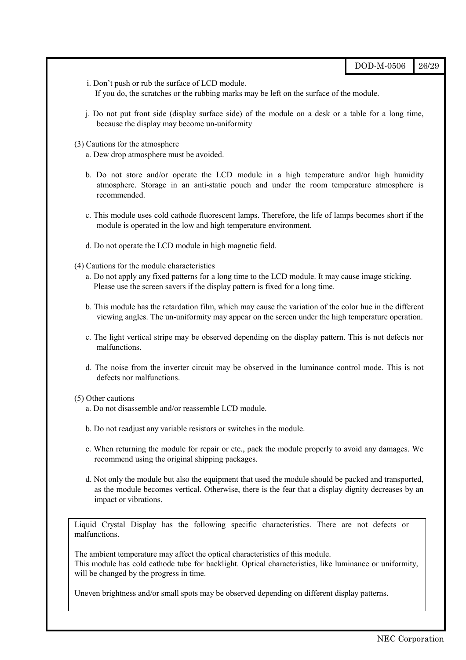| DOD-M-0506 | 126/29 |
|------------|--------|
|------------|--------|

- i. Don't push or rub the surface of LCD module. If you do, the scratches or the rubbing marks may be left on the surface of the module.
- j. Do not put front side (display surface side) of the module on a desk or a table for a long time, because the display may become un-uniformity
- (3) Cautions for the atmosphere
	- a. Dew drop atmosphere must be avoided.
	- b. Do not store and/or operate the LCD module in a high temperature and/or high humidity atmosphere. Storage in an anti-static pouch and under the room temperature atmosphere is recommended.
	- c. This module uses cold cathode fluorescent lamps. Therefore, the life of lamps becomes short if the module is operated in the low and high temperature environment.
	- d. Do not operate the LCD module in high magnetic field.
- (4) Cautions for the module characteristics
	- a. Do not apply any fixed patterns for a long time to the LCD module. It may cause image sticking. Please use the screen savers if the display pattern is fixed for a long time.
	- b. This module has the retardation film, which may cause the variation of the color hue in the different viewing angles. The un-uniformity may appear on the screen under the high temperature operation.
	- c. The light vertical stripe may be observed depending on the display pattern. This is not defects nor malfunctions.
	- d. The noise from the inverter circuit may be observed in the luminance control mode. This is not defects nor malfunctions.

#### (5) Other cautions

- a. Do not disassemble and/or reassemble LCD module.
- b. Do not readjust any variable resistors or switches in the module.
- c. When returning the module for repair or etc., pack the module properly to avoid any damages. We recommend using the original shipping packages.
- d. Not only the module but also the equipment that used the module should be packed and transported, as the module becomes vertical. Otherwise, there is the fear that a display dignity decreases by an impact or vibrations.

Liquid Crystal Display has the following specific characteristics. There are not defects or malfunctions.

The ambient temperature may affect the optical characteristics of this module. This module has cold cathode tube for backlight. Optical characteristics, like luminance or uniformity, will be changed by the progress in time.

Uneven brightness and/or small spots may be observed depending on different display patterns.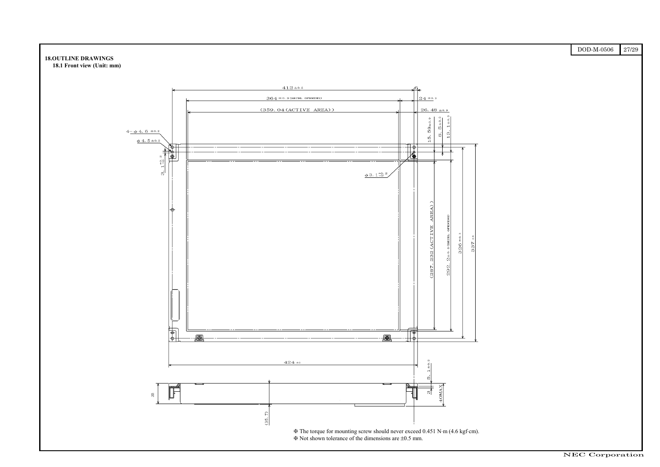| $\rm{DOD\text{-}M\text{-}0506}$ | $27\allowbreak/29$<br>ı |
|---------------------------------|-------------------------|
|                                 |                         |
|                                 |                         |
|                                 |                         |
|                                 |                         |
|                                 |                         |
|                                 |                         |
|                                 |                         |
|                                 |                         |
|                                 |                         |
|                                 |                         |
|                                 |                         |
|                                 |                         |
|                                 |                         |
|                                 |                         |
|                                 |                         |
|                                 |                         |
|                                 |                         |
|                                 |                         |
|                                 |                         |
|                                 |                         |
|                                 |                         |
|                                 |                         |
|                                 |                         |
|                                 |                         |
|                                 |                         |
|                                 |                         |
|                                 |                         |
|                                 |                         |
|                                 |                         |
|                                 |                         |
|                                 |                         |
|                                 |                         |
|                                 |                         |
|                                 |                         |
|                                 |                         |
|                                 |                         |
|                                 |                         |
|                                 |                         |
|                                 |                         |
|                                 |                         |
|                                 |                         |
|                                 |                         |
|                                 |                         |

#### **18.OUTLINE DRAWINGS**

**18.1 Front view (Unit: mm)**

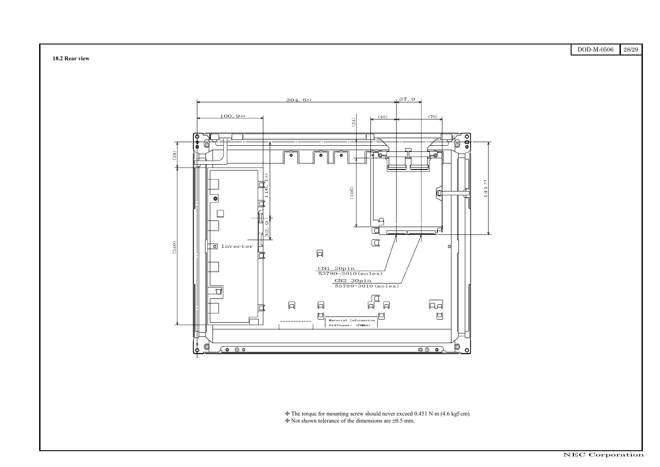| DOD-M-0506 | 28/29 |
|------------|-------|
|            |       |
|            |       |
|            |       |
|            |       |
|            |       |
|            |       |
|            |       |
|            |       |
|            |       |
|            |       |
|            |       |
|            |       |
|            |       |
|            |       |
|            |       |
|            |       |
|            |       |
|            |       |
|            |       |
|            |       |
|            |       |
|            |       |
|            |       |
|            |       |
|            |       |
|            |       |
|            |       |
|            |       |
|            |       |
|            |       |
|            |       |
|            |       |
|            |       |
|            |       |
|            |       |
|            |       |
|            |       |
|            |       |
|            |       |
|            |       |
|            |       |
|            |       |
|            |       |
|            |       |
|            |       |
|            |       |
|            |       |





❈ The torque for mounting screw should never exceed 0.451 N⋅m (4.6 kgf⋅cm). ❈ Not shown tolerance of the dimensions are ±0.5 mm.